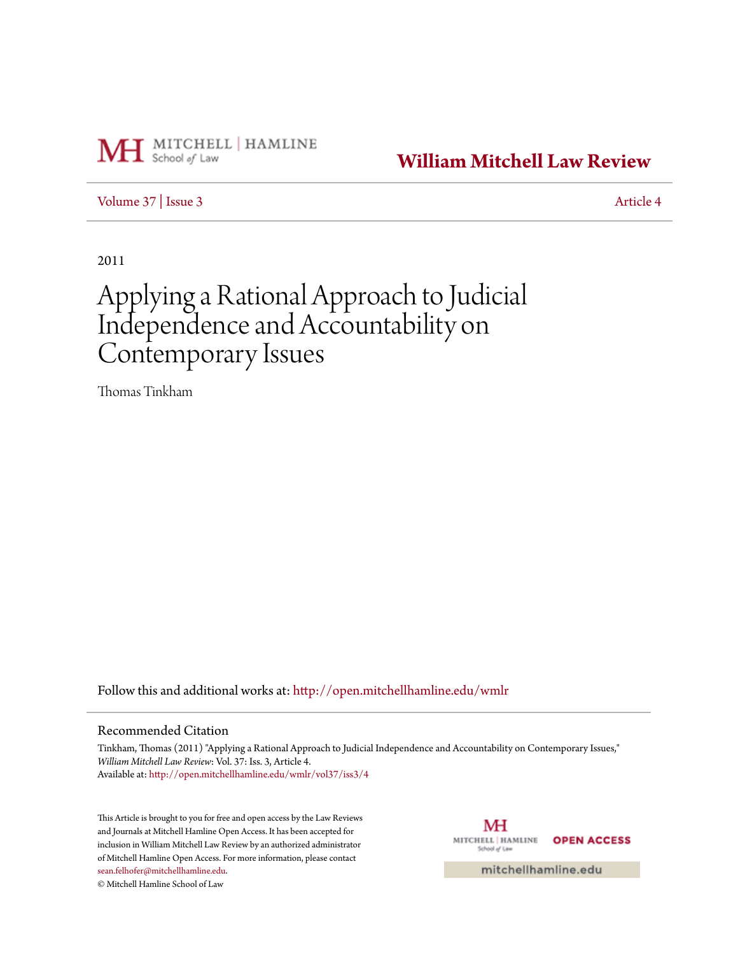

# **[William Mitchell Law Review](http://open.mitchellhamline.edu/wmlr?utm_source=open.mitchellhamline.edu%2Fwmlr%2Fvol37%2Fiss3%2F4&utm_medium=PDF&utm_campaign=PDFCoverPages)**

[Volume 37](http://open.mitchellhamline.edu/wmlr/vol37?utm_source=open.mitchellhamline.edu%2Fwmlr%2Fvol37%2Fiss3%2F4&utm_medium=PDF&utm_campaign=PDFCoverPages) | [Issue 3](http://open.mitchellhamline.edu/wmlr/vol37/iss3?utm_source=open.mitchellhamline.edu%2Fwmlr%2Fvol37%2Fiss3%2F4&utm_medium=PDF&utm_campaign=PDFCoverPages) [Article 4](http://open.mitchellhamline.edu/wmlr/vol37/iss3/4?utm_source=open.mitchellhamline.edu%2Fwmlr%2Fvol37%2Fiss3%2F4&utm_medium=PDF&utm_campaign=PDFCoverPages)

2011

# Applying a Rational Approach to Judicial Independence and Accountability on Contemporary Issues

Thomas Tinkham

Follow this and additional works at: [http://open.mitchellhamline.edu/wmlr](http://open.mitchellhamline.edu/wmlr?utm_source=open.mitchellhamline.edu%2Fwmlr%2Fvol37%2Fiss3%2F4&utm_medium=PDF&utm_campaign=PDFCoverPages)

#### Recommended Citation

Tinkham, Thomas (2011) "Applying a Rational Approach to Judicial Independence and Accountability on Contemporary Issues," *William Mitchell Law Review*: Vol. 37: Iss. 3, Article 4. Available at: [http://open.mitchellhamline.edu/wmlr/vol37/iss3/4](http://open.mitchellhamline.edu/wmlr/vol37/iss3/4?utm_source=open.mitchellhamline.edu%2Fwmlr%2Fvol37%2Fiss3%2F4&utm_medium=PDF&utm_campaign=PDFCoverPages)

This Article is brought to you for free and open access by the Law Reviews and Journals at Mitchell Hamline Open Access. It has been accepted for inclusion in William Mitchell Law Review by an authorized administrator of Mitchell Hamline Open Access. For more information, please contact [sean.felhofer@mitchellhamline.edu](mailto:sean.felhofer@mitchellhamline.edu).

© Mitchell Hamline School of Law

MH MITCHELL | HAMLINE **OPEN ACCESS** School of Law

mitchellhamline.edu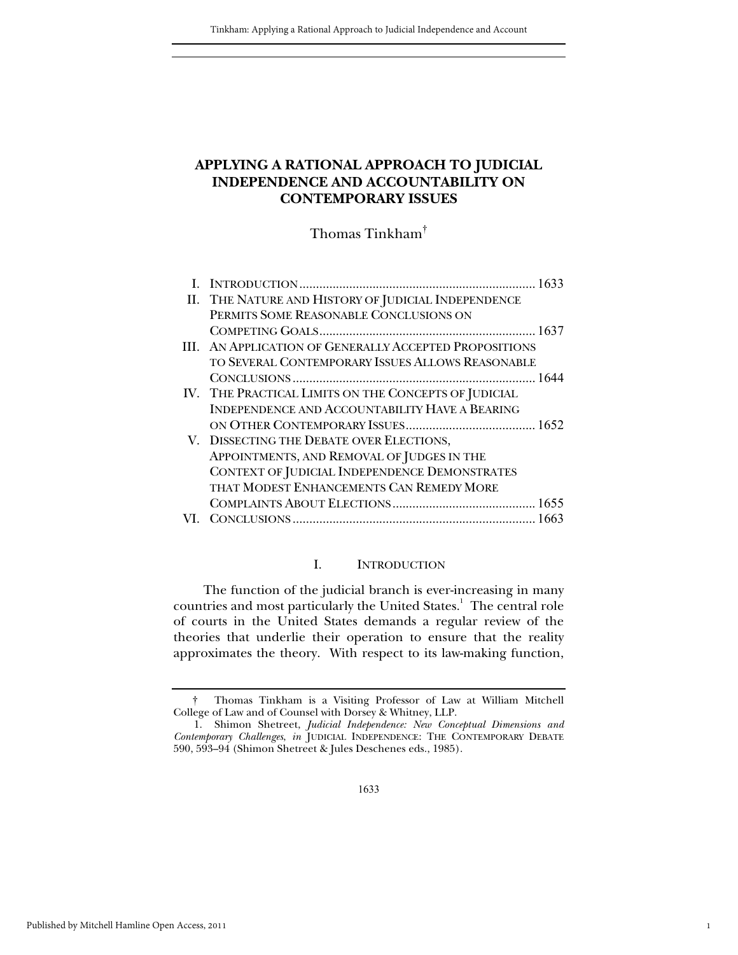# **APPLYING A RATIONAL APPROACH TO JUDICIAL INDEPENDENCE AND ACCOUNTABILITY ON CONTEMPORARY ISSUES**

Thomas Tinkham†

| II. THE NATURE AND HISTORY OF JUDICIAL INDEPENDENCE    |  |
|--------------------------------------------------------|--|
| PERMITS SOME REASONABLE CONCLUSIONS ON                 |  |
|                                                        |  |
| III. AN APPLICATION OF GENERALLY ACCEPTED PROPOSITIONS |  |
| TO SEVERAL CONTEMPORARY ISSUES ALLOWS REASONABLE       |  |
|                                                        |  |
| IV. THE PRACTICAL LIMITS ON THE CONCEPTS OF JUDICIAL   |  |
| <b>INDEPENDENCE AND ACCOUNTABILITY HAVE A BEARING</b>  |  |
|                                                        |  |
| V. DISSECTING THE DEBATE OVER ELECTIONS,               |  |
| APPOINTMENTS, AND REMOVAL OF JUDGES IN THE             |  |
| CONTEXT OF JUDICIAL INDEPENDENCE DEMONSTRATES          |  |
| THAT MODEST ENHANCEMENTS CAN REMEDY MORE               |  |
|                                                        |  |
|                                                        |  |

# I. INTRODUCTION

 The function of the judicial branch is ever-increasing in many countries and most particularly the United States.<sup>1</sup> The central role of courts in the United States demands a regular review of the theories that underlie their operation to ensure that the reality approximates the theory. With respect to its law-making function,

1

 <sup>†</sup> Thomas Tinkham is a Visiting Professor of Law at William Mitchell College of Law and of Counsel with Dorsey & Whitney, LLP.

 <sup>1.</sup> Shimon Shetreet, *Judicial Independence: New Conceptual Dimensions and Contemporary Challenges*, *in* JUDICIAL INDEPENDENCE: THE CONTEMPORARY DEBATE 590, 593–94 (Shimon Shetreet & Jules Deschenes eds., 1985).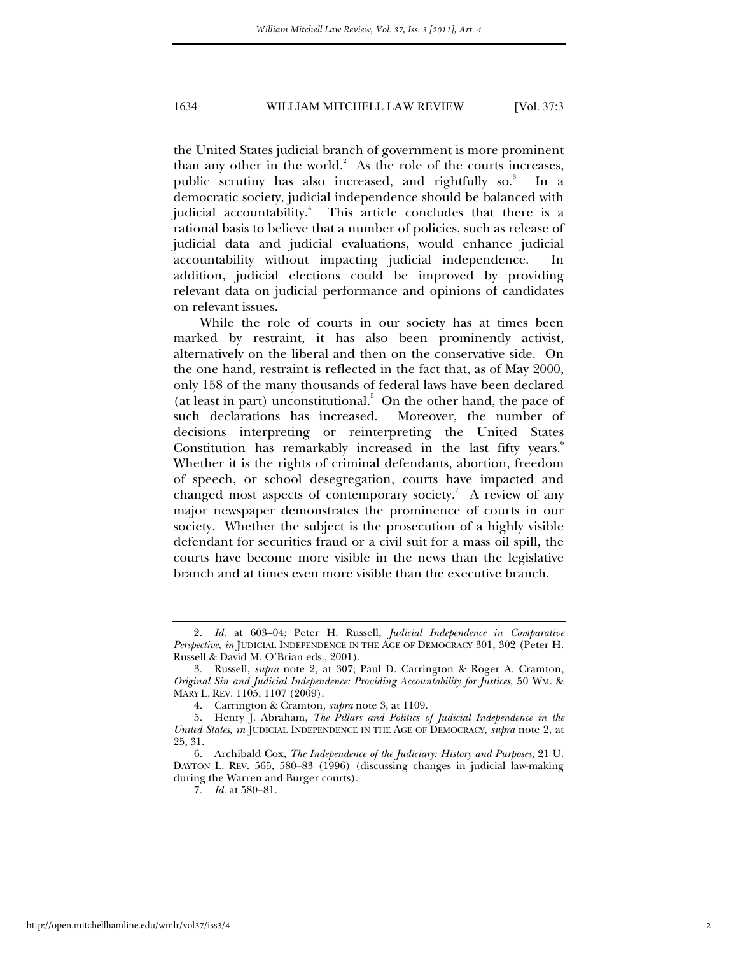the United States judicial branch of government is more prominent than any other in the world. $2$  As the role of the courts increases, public scrutiny has also increased, and rightfully so.<sup>3</sup> In a democratic society, judicial independence should be balanced with judicial accountability.<sup>4</sup> This article concludes that there is a rational basis to believe that a number of policies, such as release of judicial data and judicial evaluations, would enhance judicial accountability without impacting judicial independence. In addition, judicial elections could be improved by providing relevant data on judicial performance and opinions of candidates on relevant issues.

While the role of courts in our society has at times been marked by restraint, it has also been prominently activist, alternatively on the liberal and then on the conservative side. On the one hand, restraint is reflected in the fact that, as of May 2000, only 158 of the many thousands of federal laws have been declared (at least in part) unconstitutional.<sup>5</sup> On the other hand, the pace of such declarations has increased. Moreover, the number of decisions interpreting or reinterpreting the United States Constitution has remarkably increased in the last fifty years.<sup>6</sup> Whether it is the rights of criminal defendants, abortion, freedom of speech, or school desegregation, courts have impacted and changed most aspects of contemporary society.<sup>7</sup> A review of any major newspaper demonstrates the prominence of courts in our society. Whether the subject is the prosecution of a highly visible defendant for securities fraud or a civil suit for a mass oil spill, the courts have become more visible in the news than the legislative branch and at times even more visible than the executive branch.

<sup>2</sup>*. Id.* at 603–04; Peter H. Russell, *Judicial Independence in Comparative Perspective*, *in* JUDICIAL INDEPENDENCE IN THE AGE OF DEMOCRACY 301, 302 (Peter H. Russell & David M. O'Brian eds., 2001).

 <sup>3.</sup> Russell, *supra* note 2*,* at 307; Paul D. Carrington & Roger A. Cramton, *Original Sin and Judicial Independence: Providing Accountability for Justices*, 50 WM. & MARY L. REV. 1105, 1107 (2009).

 <sup>4.</sup> Carrington & Cramton*, supra* note 3, at 1109.

 <sup>5.</sup> Henry J. Abraham, *The Pillars and Politics of Judicial Independence in the United States*, *in* JUDICIAL INDEPENDENCE IN THE AGE OF DEMOCRACY, *supra* note 2, at 25, 31.

 <sup>6.</sup> Archibald Cox, *The Independence of the Judiciary: History and Purposes*, 21 U. DAYTON L. REV. 565, 580–83 (1996) (discussing changes in judicial law-making during the Warren and Burger courts).

<sup>7</sup>*. Id.* at 580–81.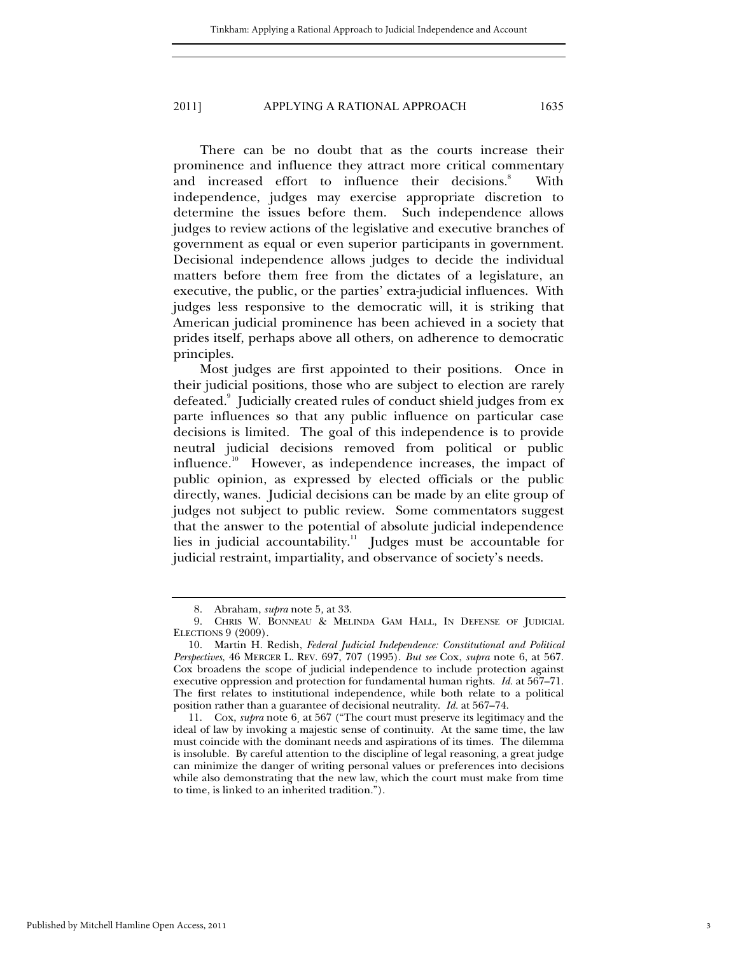There can be no doubt that as the courts increase their prominence and influence they attract more critical commentary and increased effort to influence their decisions.<sup>8</sup> With independence, judges may exercise appropriate discretion to determine the issues before them. Such independence allows judges to review actions of the legislative and executive branches of government as equal or even superior participants in government. Decisional independence allows judges to decide the individual matters before them free from the dictates of a legislature, an executive, the public, or the parties' extra-judicial influences. With judges less responsive to the democratic will, it is striking that American judicial prominence has been achieved in a society that prides itself, perhaps above all others, on adherence to democratic principles.

Most judges are first appointed to their positions. Once in their judicial positions, those who are subject to election are rarely defeated. $^{\circ}$  Judicially created rules of conduct shield judges from ex parte influences so that any public influence on particular case decisions is limited. The goal of this independence is to provide neutral judicial decisions removed from political or public influence.10 However, as independence increases, the impact of public opinion, as expressed by elected officials or the public directly, wanes. Judicial decisions can be made by an elite group of judges not subject to public review. Some commentators suggest that the answer to the potential of absolute judicial independence lies in judicial accountability. $\frac{1}{1}$  Judges must be accountable for judicial restraint, impartiality, and observance of society's needs.

 <sup>8.</sup> Abraham, *supra* note 5*,* at 33.

 <sup>9.</sup> CHRIS W. BONNEAU & MELINDA GAM HALL, IN DEFENSE OF JUDICIAL ELECTIONS 9 (2009).

 <sup>10.</sup> Martin H. Redish, *Federal Judicial Independence: Constitutional and Political Perspectives*, 46 MERCER L. REV. 697, 707 (1995). *But see* Cox, *supra* note 6, at 567. Cox broadens the scope of judicial independence to include protection against executive oppression and protection for fundamental human rights. *Id.* at 567–71. The first relates to institutional independence, while both relate to a political position rather than a guarantee of decisional neutrality. *Id.* at 567–74.

 <sup>11.</sup> Cox, *supra* note 6¸ at 567 ("The court must preserve its legitimacy and the ideal of law by invoking a majestic sense of continuity. At the same time, the law must coincide with the dominant needs and aspirations of its times. The dilemma is insoluble. By careful attention to the discipline of legal reasoning, a great judge can minimize the danger of writing personal values or preferences into decisions while also demonstrating that the new law, which the court must make from time to time, is linked to an inherited tradition.").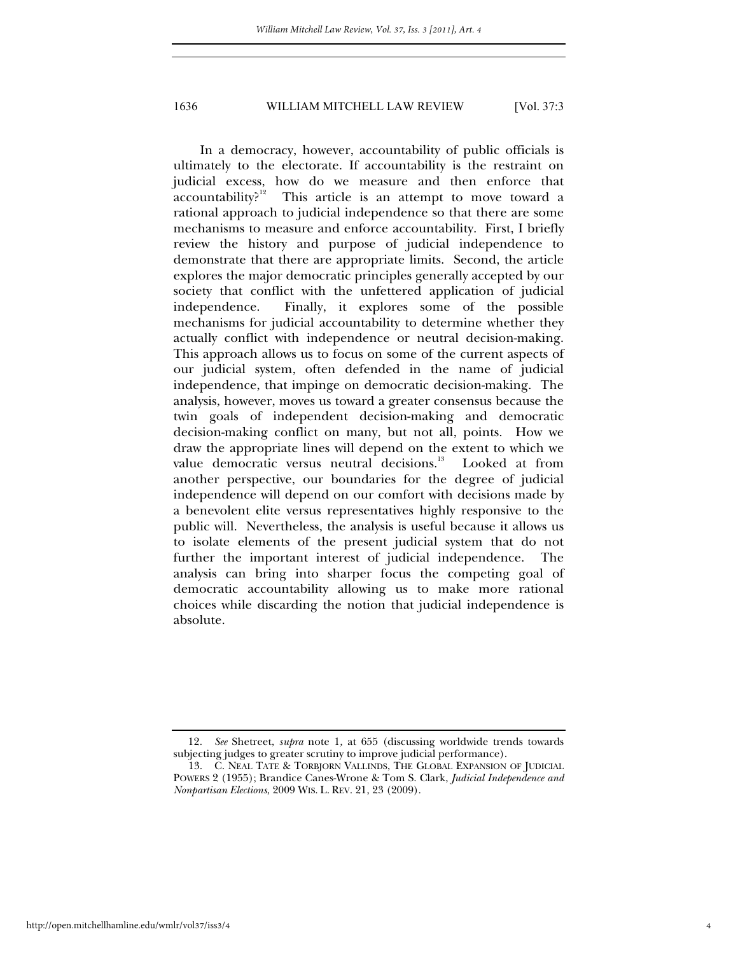In a democracy, however, accountability of public officials is ultimately to the electorate. If accountability is the restraint on judicial excess, how do we measure and then enforce that accountability?<sup>12</sup> This article is an attempt to move toward a This article is an attempt to move toward a rational approach to judicial independence so that there are some mechanisms to measure and enforce accountability. First, I briefly review the history and purpose of judicial independence to demonstrate that there are appropriate limits. Second, the article explores the major democratic principles generally accepted by our society that conflict with the unfettered application of judicial independence. Finally, it explores some of the possible mechanisms for judicial accountability to determine whether they actually conflict with independence or neutral decision-making. This approach allows us to focus on some of the current aspects of our judicial system, often defended in the name of judicial independence, that impinge on democratic decision-making. The analysis, however, moves us toward a greater consensus because the twin goals of independent decision-making and democratic decision-making conflict on many, but not all, points. How we draw the appropriate lines will depend on the extent to which we value democratic versus neutral decisions.<sup>13</sup> Looked at from another perspective, our boundaries for the degree of judicial independence will depend on our comfort with decisions made by a benevolent elite versus representatives highly responsive to the public will. Nevertheless, the analysis is useful because it allows us to isolate elements of the present judicial system that do not further the important interest of judicial independence. The analysis can bring into sharper focus the competing goal of democratic accountability allowing us to make more rational choices while discarding the notion that judicial independence is absolute.

<sup>12</sup>*. See* Shetreet, *supra* note 1*,* at 655 (discussing worldwide trends towards subjecting judges to greater scrutiny to improve judicial performance).

 <sup>13.</sup> C. NEAL TATE & TORBJORN VALLINDS, THE GLOBAL EXPANSION OF JUDICIAL POWERS 2 (1955); Brandice Canes-Wrone & Tom S. Clark, *Judicial Independence and Nonpartisan Elections*, 2009 WIS. L. REV. 21, 23 (2009).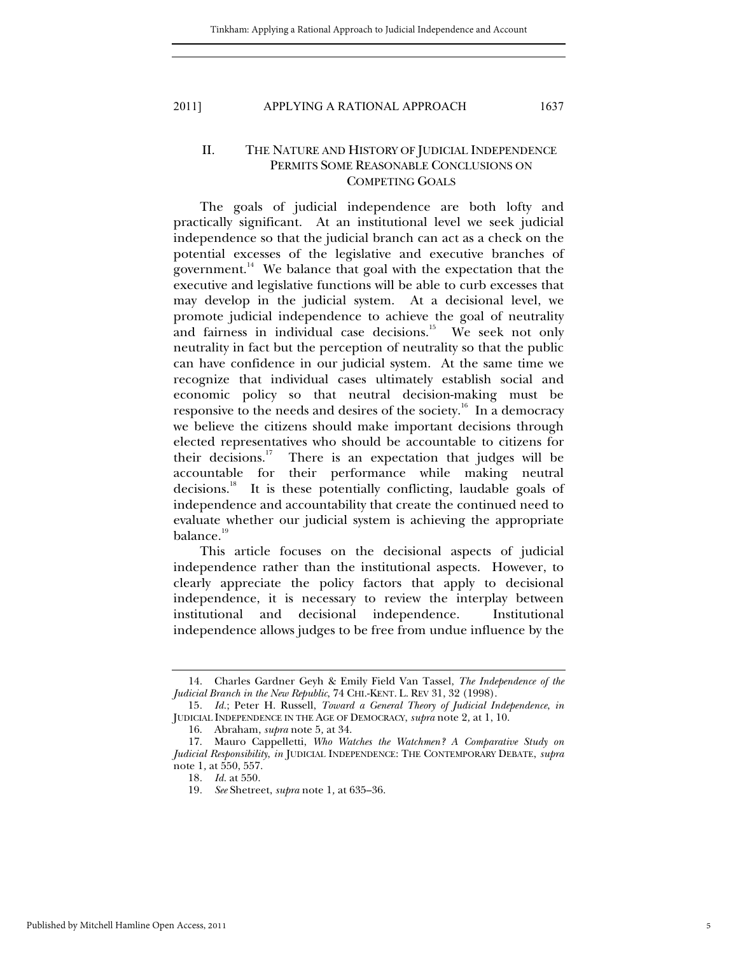# II. THE NATURE AND HISTORY OF JUDICIAL INDEPENDENCE PERMITS SOME REASONABLE CONCLUSIONS ON COMPETING GOALS

The goals of judicial independence are both lofty and practically significant. At an institutional level we seek judicial independence so that the judicial branch can act as a check on the potential excesses of the legislative and executive branches of government. $14$  We balance that goal with the expectation that the executive and legislative functions will be able to curb excesses that may develop in the judicial system. At a decisional level, we promote judicial independence to achieve the goal of neutrality and fairness in individual case decisions.<sup>15</sup> We seek not only neutrality in fact but the perception of neutrality so that the public can have confidence in our judicial system. At the same time we recognize that individual cases ultimately establish social and economic policy so that neutral decision-making must be responsive to the needs and desires of the society.<sup>16</sup> In a democracy we believe the citizens should make important decisions through elected representatives who should be accountable to citizens for their decisions.<sup>17</sup> There is an expectation that judges will be accountable for their performance while making neutral decisions.<sup>18</sup> It is these potentially conflicting, laudable goals of independence and accountability that create the continued need to evaluate whether our judicial system is achieving the appropriate balance.<sup>19</sup>

This article focuses on the decisional aspects of judicial independence rather than the institutional aspects. However, to clearly appreciate the policy factors that apply to decisional independence, it is necessary to review the interplay between institutional and decisional independence. Institutional independence allows judges to be free from undue influence by the

 <sup>14.</sup> Charles Gardner Geyh & Emily Field Van Tassel, *The Independence of the Judicial Branch in the New Republic*, 74 CHI.-KENT. L. REV 31, 32 (1998).

<sup>15</sup>*. Id.*; Peter H. Russell, *Toward a General Theory of Judicial Independence*, *in* JUDICIAL INDEPENDENCE IN THE AGE OF DEMOCRACY, *supra* note 2*,* at 1, 10.

 <sup>16.</sup> Abraham, *supra* note 5*,* at 34.

 <sup>17.</sup> Mauro Cappelletti, *Who Watches the Watchmen? A Comparative Study on Judicial Responsibility*, *in* JUDICIAL INDEPENDENCE: THE CONTEMPORARY DEBATE, *supra* note 1*,* at 550, 557.

<sup>18</sup>*. Id.* at 550.

<sup>19</sup>*. See* Shetreet, *supra* note 1*,* at 635–36.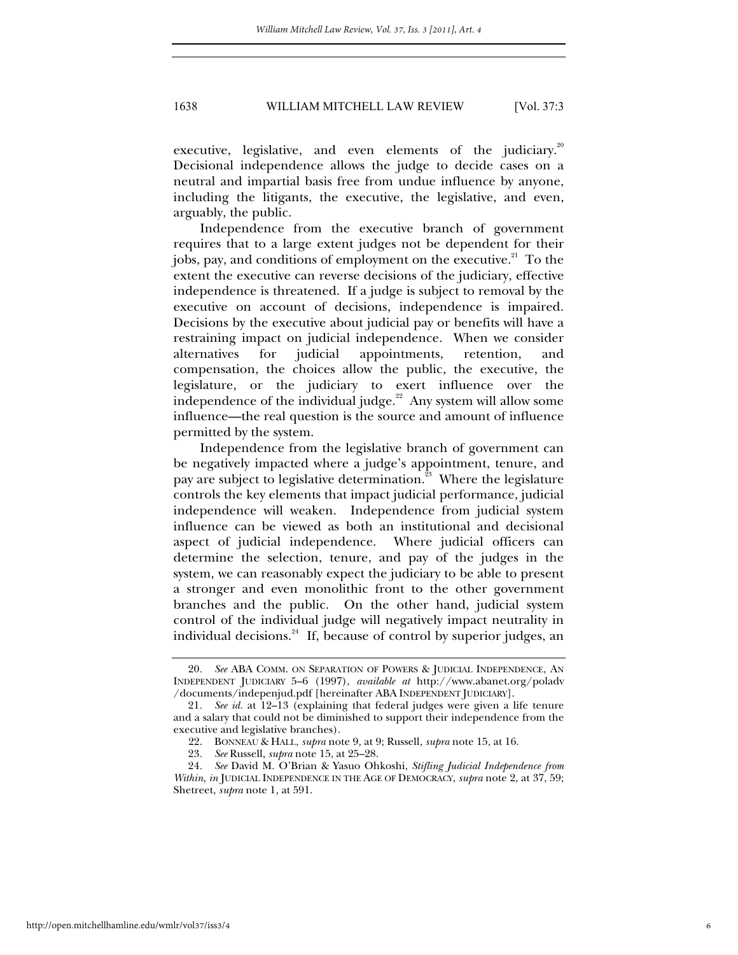executive, legislative, and even elements of the judiciary. $20$ Decisional independence allows the judge to decide cases on a neutral and impartial basis free from undue influence by anyone, including the litigants, the executive, the legislative, and even, arguably, the public.

Independence from the executive branch of government requires that to a large extent judges not be dependent for their jobs, pay, and conditions of employment on the executive. $21$  To the extent the executive can reverse decisions of the judiciary, effective independence is threatened. If a judge is subject to removal by the executive on account of decisions, independence is impaired. Decisions by the executive about judicial pay or benefits will have a restraining impact on judicial independence. When we consider alternatives for judicial appointments, retention, and compensation, the choices allow the public, the executive, the legislature, or the judiciary to exert influence over the independence of the individual judge.<sup>22</sup> Any system will allow some influence—the real question is the source and amount of influence permitted by the system.

Independence from the legislative branch of government can be negatively impacted where a judge's appointment, tenure, and pay are subject to legislative determination.<sup>23</sup> Where the legislature controls the key elements that impact judicial performance, judicial independence will weaken. Independence from judicial system influence can be viewed as both an institutional and decisional aspect of judicial independence. Where judicial officers can determine the selection, tenure, and pay of the judges in the system, we can reasonably expect the judiciary to be able to present a stronger and even monolithic front to the other government branches and the public. On the other hand, judicial system control of the individual judge will negatively impact neutrality in individual decisions.<sup>24</sup> If, because of control by superior judges, an

<sup>20</sup>*. See* ABA COMM. ON SEPARATION OF POWERS & JUDICIAL INDEPENDENCE, AN INDEPENDENT JUDICIARY 5–6 (1997), *available at* http://www.abanet.org/poladv /documents/indepenjud.pdf [hereinafter ABA INDEPENDENT JUDICIARY].

<sup>21</sup>*. See id.* at 12–13 (explaining that federal judges were given a life tenure and a salary that could not be diminished to support their independence from the executive and legislative branches).

 <sup>22.</sup> BONNEAU & HALL, *supra* note 9*,* at 9; Russell, *supra* note 15, at 16.

<sup>23</sup>*. See* Russell, *supra* note 15, at 25–28.

<sup>24</sup>*. See* David M. O'Brian & Yasuo Ohkoshi, *Stifling Judicial Independence from Within*, *in* JUDICIAL INDEPENDENCE IN THE AGE OF DEMOCRACY, *supra* note 2, at 37, 59; Shetreet, *supra* note 1*,* at 591.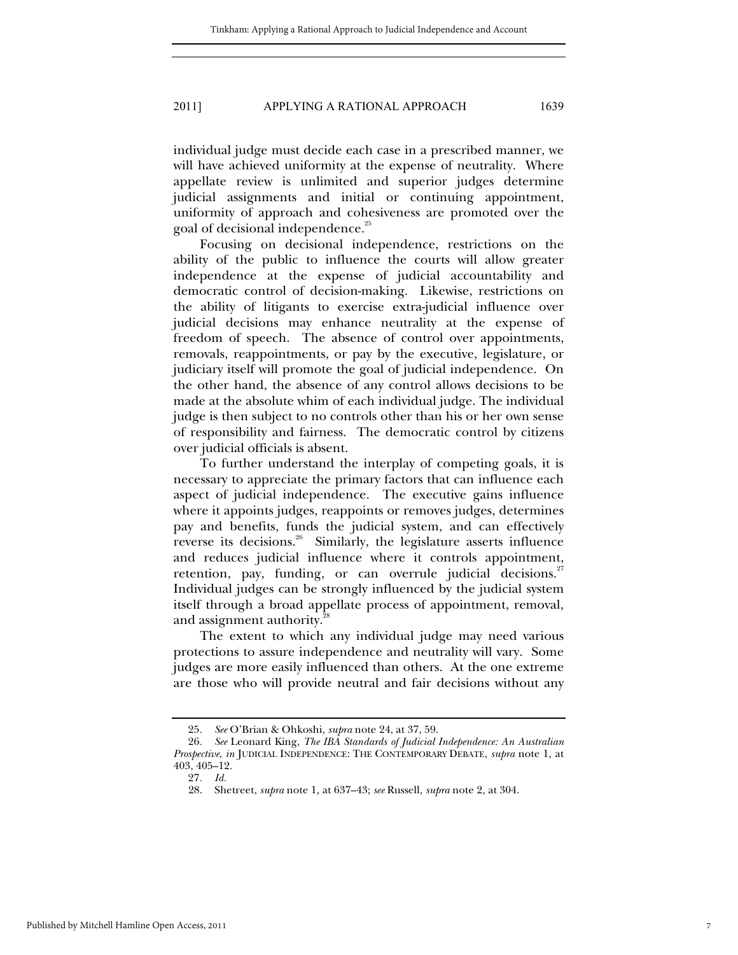individual judge must decide each case in a prescribed manner, we will have achieved uniformity at the expense of neutrality. Where appellate review is unlimited and superior judges determine judicial assignments and initial or continuing appointment, uniformity of approach and cohesiveness are promoted over the goal of decisional independence.<sup>25</sup>

Focusing on decisional independence, restrictions on the ability of the public to influence the courts will allow greater independence at the expense of judicial accountability and democratic control of decision-making. Likewise, restrictions on the ability of litigants to exercise extra-judicial influence over judicial decisions may enhance neutrality at the expense of freedom of speech. The absence of control over appointments, removals, reappointments, or pay by the executive, legislature, or judiciary itself will promote the goal of judicial independence. On the other hand, the absence of any control allows decisions to be made at the absolute whim of each individual judge. The individual judge is then subject to no controls other than his or her own sense of responsibility and fairness. The democratic control by citizens over judicial officials is absent.

To further understand the interplay of competing goals, it is necessary to appreciate the primary factors that can influence each aspect of judicial independence. The executive gains influence where it appoints judges, reappoints or removes judges, determines pay and benefits, funds the judicial system, and can effectively reverse its decisions.<sup>26</sup> Similarly, the legislature asserts influence and reduces judicial influence where it controls appointment, retention, pay, funding, or can overrule judicial decisions. $27$ Individual judges can be strongly influenced by the judicial system itself through a broad appellate process of appointment, removal, and assignment authority.<sup>2</sup>

The extent to which any individual judge may need various protections to assure independence and neutrality will vary. Some judges are more easily influenced than others. At the one extreme are those who will provide neutral and fair decisions without any

<sup>25</sup>*. See* O'Brian & Ohkoshi, *supra* note 24, at 37, 59.

<sup>26</sup>*. See* Leonard King, *The IBA Standards of Judicial Independence: An Australian Prospective*, *in* JUDICIAL INDEPENDENCE: THE CONTEMPORARY DEBATE, *supra* note 1*,* at 403, 405–12.

<sup>27</sup>*. Id.*

 <sup>28.</sup> Shetreet, *supra* note 1*,* at 637–43; *see* Russell, *supra* note 2*,* at 304.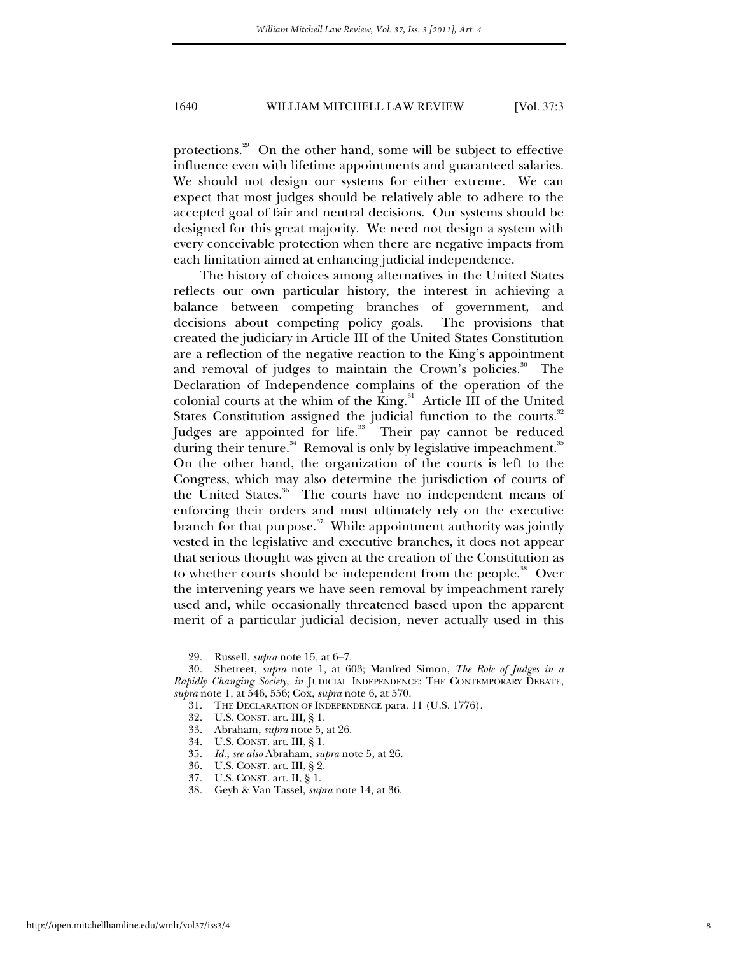protections.<sup>29</sup> On the other hand, some will be subject to effective influence even with lifetime appointments and guaranteed salaries. We should not design our systems for either extreme. We can expect that most judges should be relatively able to adhere to the accepted goal of fair and neutral decisions. Our systems should be designed for this great majority. We need not design a system with every conceivable protection when there are negative impacts from each limitation aimed at enhancing judicial independence.

The history of choices among alternatives in the United States reflects our own particular history, the interest in achieving a balance between competing branches of government, and decisions about competing policy goals. The provisions that created the judiciary in Article III of the United States Constitution are a reflection of the negative reaction to the King's appointment and removal of judges to maintain the Crown's policies.<sup>30</sup> The Declaration of Independence complains of the operation of the colonial courts at the whim of the King.<sup>31</sup> Article III of the United States Constitution assigned the judicial function to the courts.<sup>32</sup> Judges are appointed for life.<sup>33</sup> Their pay cannot be reduced during their tenure. $34$  Removal is only by legislative impeachment. $35$ On the other hand, the organization of the courts is left to the Congress, which may also determine the jurisdiction of courts of the United States.<sup>36</sup> The courts have no independent means of enforcing their orders and must ultimately rely on the executive branch for that purpose. $37$  While appointment authority was jointly vested in the legislative and executive branches, it does not appear that serious thought was given at the creation of the Constitution as to whether courts should be independent from the people.<sup>38</sup> Over the intervening years we have seen removal by impeachment rarely used and, while occasionally threatened based upon the apparent merit of a particular judicial decision, never actually used in this

 <sup>29.</sup> Russell, *supra* note 15*,* at 6–7.

 <sup>30.</sup> Shetreet, *supra* note 1*,* at 603; Manfred Simon, *The Role of Judges in a Rapidly Changing Society*, *in* JUDICIAL INDEPENDENCE: THE CONTEMPORARY DEBATE, *supra* note 1*,* at 546, 556; Cox, *supra* note 6*,* at 570.

 <sup>31.</sup> THE DECLARATION OF INDEPENDENCE para. 11 (U.S. 1776).

 <sup>32.</sup> U.S. CONST. art. III, § 1.

 <sup>33.</sup> Abraham, *supra* note 5*,* at 26.

 <sup>34.</sup> U.S. CONST. art. III, § 1.

<sup>35</sup>*. Id.*; *see also* Abraham, *supra* note 5*,* at 26.

 <sup>36.</sup> U.S. CONST. art. III, § 2.

 <sup>37.</sup> U.S. CONST. art. II, § 1.

 <sup>38.</sup> Geyh & Van Tassel, *supra* note 14*,* at 36.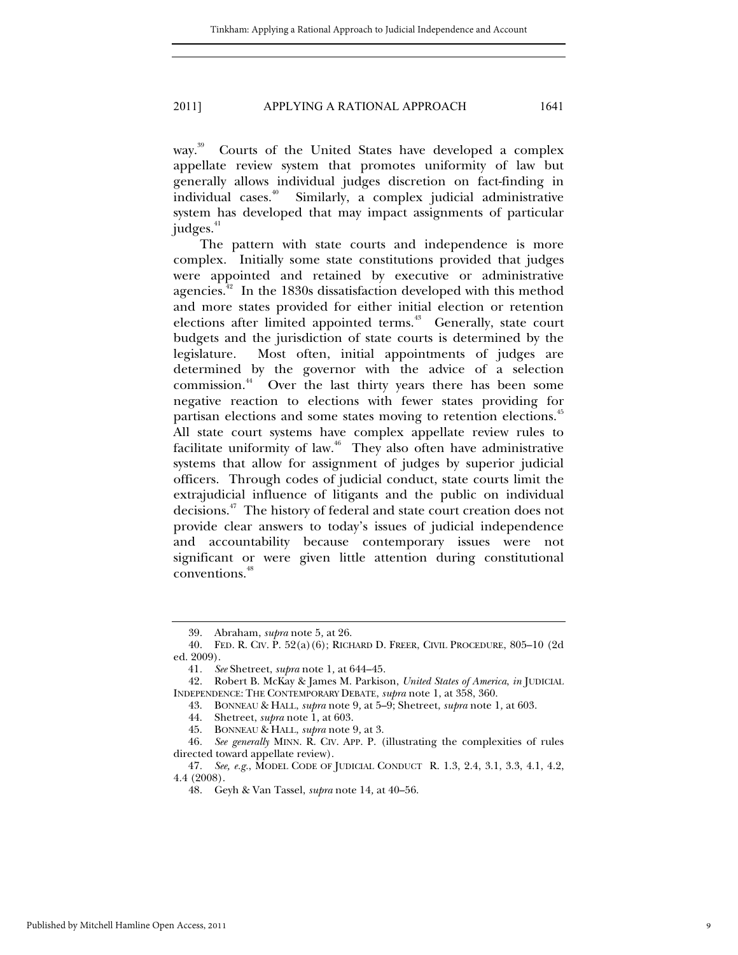way.<sup>39</sup> Courts of the United States have developed a complex appellate review system that promotes uniformity of law but generally allows individual judges discretion on fact-finding in individual cases.<sup>40</sup> Similarly, a complex judicial administrative system has developed that may impact assignments of particular judges.<sup>41</sup>

The pattern with state courts and independence is more complex. Initially some state constitutions provided that judges were appointed and retained by executive or administrative agencies.<sup>42</sup> In the 1830s dissatisfaction developed with this method and more states provided for either initial election or retention elections after limited appointed terms.<sup>43</sup> Generally, state court budgets and the jurisdiction of state courts is determined by the legislature. Most often, initial appointments of judges are determined by the governor with the advice of a selection commission.44 Over the last thirty years there has been some negative reaction to elections with fewer states providing for partisan elections and some states moving to retention elections.<sup>45</sup> All state court systems have complex appellate review rules to facilitate uniformity of law. $46$  They also often have administrative systems that allow for assignment of judges by superior judicial officers. Through codes of judicial conduct, state courts limit the extrajudicial influence of litigants and the public on individual decisions.47 The history of federal and state court creation does not provide clear answers to today's issues of judicial independence and accountability because contemporary issues were not significant or were given little attention during constitutional conventions.<sup>48</sup>

 <sup>39.</sup> Abraham, *supra* note 5*,* at 26.

 <sup>40.</sup> FED. R. CIV. P. 52(a)(6); RICHARD D. FREER, CIVIL PROCEDURE, 805–10 (2d ed. 2009).

<sup>41</sup>*. See* Shetreet, *supra* note 1*,* at 644–45.

 <sup>42.</sup> Robert B. McKay & James M. Parkison, *United States of America*, *in* JUDICIAL INDEPENDENCE: THE CONTEMPORARY DEBATE, *supra* note 1, at 358, 360.

 <sup>43.</sup> BONNEAU & HALL, *supra* note 9*,* at 5–9; Shetreet, *supra* note 1*,* at 603.

 <sup>44.</sup> Shetreet, *supra* note 1*,* at 603.

 <sup>45.</sup> BONNEAU & HALL, *supra* note 9*,* at 3.

<sup>46</sup>*. See generally* MINN. R. CIV. APP. P. (illustrating the complexities of rules directed toward appellate review).

<sup>47</sup>*. See, e.g.*, MODEL CODE OF JUDICIAL CONDUCT R. 1.3, 2.4, 3.1, 3.3, 4.1, 4.2, 4.4 (2008).

 <sup>48.</sup> Geyh & Van Tassel, *supra* note 14*,* at 40–56.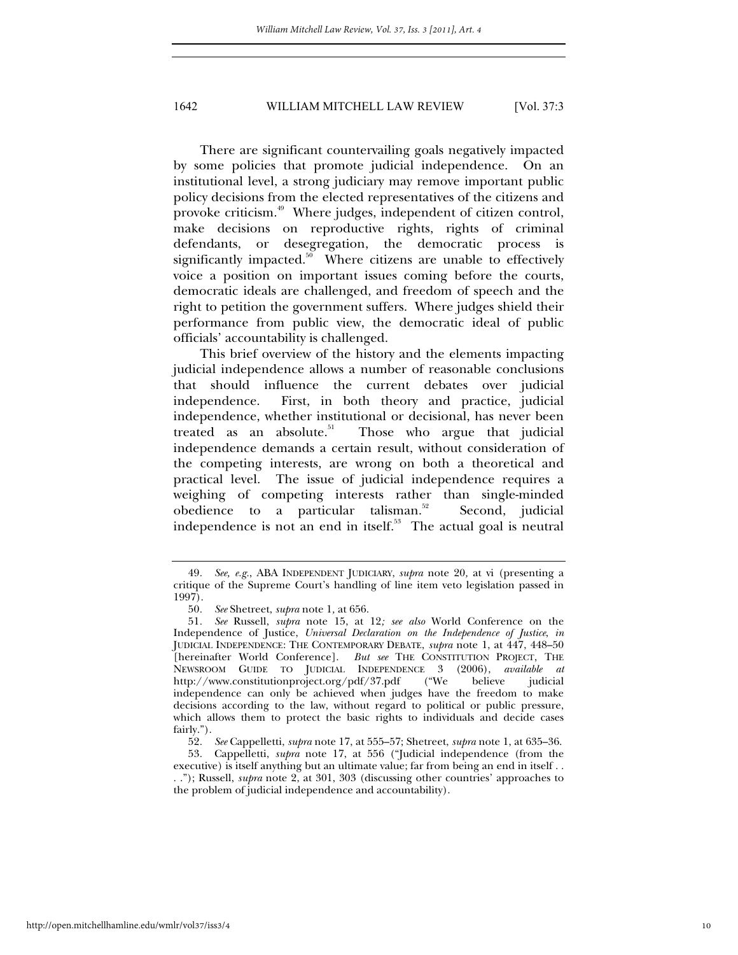There are significant countervailing goals negatively impacted by some policies that promote judicial independence. On an institutional level, a strong judiciary may remove important public policy decisions from the elected representatives of the citizens and provoke criticism.49 Where judges, independent of citizen control, make decisions on reproductive rights, rights of criminal defendants, or desegregation, the democratic process is significantly impacted.<sup>50</sup> Where citizens are unable to effectively voice a position on important issues coming before the courts, democratic ideals are challenged, and freedom of speech and the right to petition the government suffers. Where judges shield their performance from public view, the democratic ideal of public officials' accountability is challenged.

This brief overview of the history and the elements impacting judicial independence allows a number of reasonable conclusions that should influence the current debates over judicial independence. First, in both theory and practice, judicial independence, whether institutional or decisional, has never been treated as an absolute.<sup>51</sup> Those who argue that judicial independence demands a certain result, without consideration of the competing interests, are wrong on both a theoretical and practical level. The issue of judicial independence requires a weighing of competing interests rather than single-minded obedience to a particular talisman. $52$  Second, judicial independence is not an end in itself.<sup>53</sup> The actual goal is neutral

<sup>49</sup>*. See, e.g.*, ABA INDEPENDENT JUDICIARY, *supra* note 20*,* at vi (presenting a critique of the Supreme Court's handling of line item veto legislation passed in 1997).

<sup>50</sup>*. See* Shetreet, *supra* note 1*,* at 656.

<sup>51</sup>*. See* Russell, *supra* note 15, at 12*; see also* World Conference on the Independence of Justice, *Universal Declaration on the Independence of Justice*, *in* JUDICIAL INDEPENDENCE: THE CONTEMPORARY DEBATE, *supra* note 1, at 447, 448–50 [hereinafter World Conference]. *But see* THE CONSTITUTION PROJECT, THE NEWSROOM GUIDE TO JUDICIAL INDEPENDENCE 3 (2006), *available at*  http://www.constitutionproject.org/pdf/37.pdf independence can only be achieved when judges have the freedom to make decisions according to the law, without regard to political or public pressure, which allows them to protect the basic rights to individuals and decide cases fairly.").

<sup>52</sup>*. See* Cappelletti, *supra* note 17, at 555–57; Shetreet, *supra* note 1, at 635–36.

<sup>53</sup>*.* Cappelletti, *supra* note 17, at 556 ("Judicial independence (from the executive) is itself anything but an ultimate value; far from being an end in itself . . . ."); Russell, *supra* note 2, at 301, 303 (discussing other countries' approaches to the problem of judicial independence and accountability).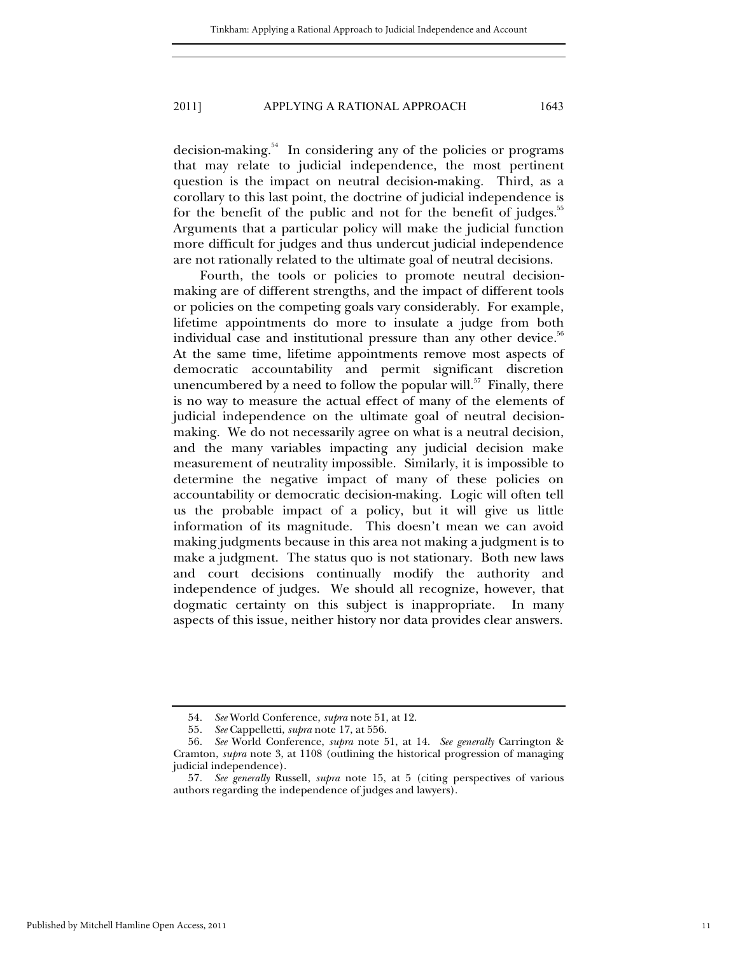decision-making.54 In considering any of the policies or programs that may relate to judicial independence, the most pertinent question is the impact on neutral decision-making. Third, as a corollary to this last point, the doctrine of judicial independence is for the benefit of the public and not for the benefit of judges. $55$ Arguments that a particular policy will make the judicial function more difficult for judges and thus undercut judicial independence are not rationally related to the ultimate goal of neutral decisions.

Fourth, the tools or policies to promote neutral decisionmaking are of different strengths, and the impact of different tools or policies on the competing goals vary considerably. For example, lifetime appointments do more to insulate a judge from both individual case and institutional pressure than any other device.<sup>56</sup> At the same time, lifetime appointments remove most aspects of democratic accountability and permit significant discretion unencumbered by a need to follow the popular will.<sup>57</sup> Finally, there is no way to measure the actual effect of many of the elements of judicial independence on the ultimate goal of neutral decisionmaking. We do not necessarily agree on what is a neutral decision, and the many variables impacting any judicial decision make measurement of neutrality impossible. Similarly, it is impossible to determine the negative impact of many of these policies on accountability or democratic decision-making. Logic will often tell us the probable impact of a policy, but it will give us little information of its magnitude. This doesn't mean we can avoid making judgments because in this area not making a judgment is to make a judgment. The status quo is not stationary. Both new laws and court decisions continually modify the authority and independence of judges. We should all recognize, however, that dogmatic certainty on this subject is inappropriate. In many aspects of this issue, neither history nor data provides clear answers.

<sup>54</sup>*. See* World Conference, *supra* note 51, at 12.

<sup>55</sup>*. See* Cappelletti, *supra* note 17, at 556.

<sup>56</sup>*. See* World Conference, *supra* note 51, at 14. *See generally* Carrington & Cramton, *supra* note 3, at 1108 (outlining the historical progression of managing judicial independence).

<sup>57</sup>*. See generally* Russell, *supra* note 15, at 5 (citing perspectives of various authors regarding the independence of judges and lawyers).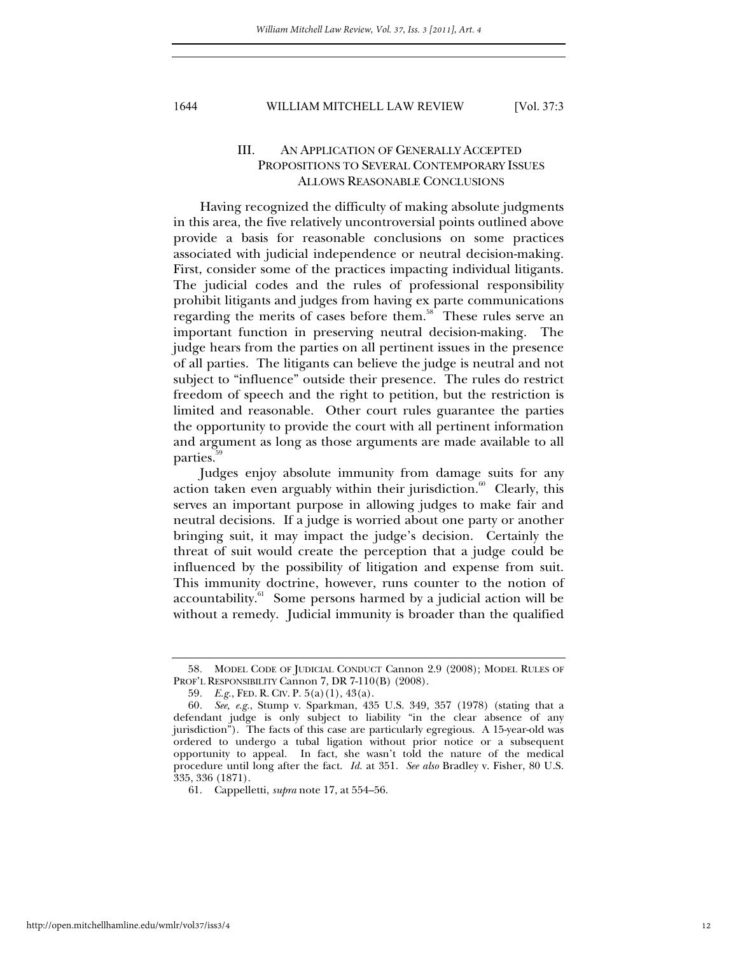# III. AN APPLICATION OF GENERALLY ACCEPTED PROPOSITIONS TO SEVERAL CONTEMPORARY ISSUES ALLOWS REASONABLE CONCLUSIONS

Having recognized the difficulty of making absolute judgments in this area, the five relatively uncontroversial points outlined above provide a basis for reasonable conclusions on some practices associated with judicial independence or neutral decision-making. First, consider some of the practices impacting individual litigants. The judicial codes and the rules of professional responsibility prohibit litigants and judges from having ex parte communications regarding the merits of cases before them.<sup>58</sup> These rules serve an important function in preserving neutral decision-making. The judge hears from the parties on all pertinent issues in the presence of all parties. The litigants can believe the judge is neutral and not subject to "influence" outside their presence. The rules do restrict freedom of speech and the right to petition, but the restriction is limited and reasonable. Other court rules guarantee the parties the opportunity to provide the court with all pertinent information and argument as long as those arguments are made available to all parties.

Judges enjoy absolute immunity from damage suits for any action taken even arguably within their jurisdiction. $60$  Clearly, this serves an important purpose in allowing judges to make fair and neutral decisions. If a judge is worried about one party or another bringing suit, it may impact the judge's decision. Certainly the threat of suit would create the perception that a judge could be influenced by the possibility of litigation and expense from suit. This immunity doctrine, however, runs counter to the notion of accountability. $61$  Some persons harmed by a judicial action will be without a remedy. Judicial immunity is broader than the qualified

<sup>58</sup>*.* MODEL CODE OF JUDICIAL CONDUCT Cannon 2.9 (2008); MODEL RULES OF PROF'L RESPONSIBILITY Cannon 7, DR 7-110(B) (2008).

<sup>59</sup>*. E.g.*, FED. R. CIV. P. 5(a)(1), 43(a).

<sup>60</sup>*. See, e.g.*, Stump v. Sparkman, 435 U.S. 349, 357 (1978) (stating that a defendant judge is only subject to liability "in the clear absence of any jurisdiction"). The facts of this case are particularly egregious. A 15-year-old was ordered to undergo a tubal ligation without prior notice or a subsequent opportunity to appeal. In fact, she wasn't told the nature of the medical procedure until long after the fact. *Id.* at 351. *See also* Bradley v. Fisher, 80 U.S. 335, 336 (1871).

 <sup>61.</sup> Cappelletti, *supra* note 17, at 554–56.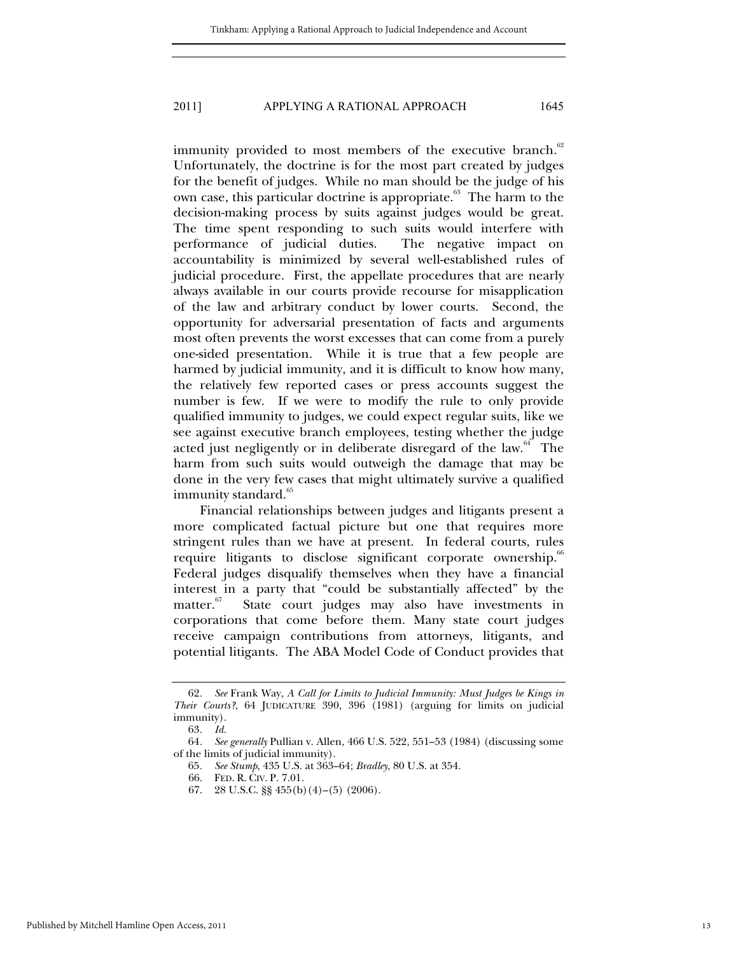immunity provided to most members of the executive branch.<sup>62</sup> Unfortunately, the doctrine is for the most part created by judges for the benefit of judges. While no man should be the judge of his own case, this particular doctrine is appropriate.<sup>63</sup> The harm to the decision-making process by suits against judges would be great. The time spent responding to such suits would interfere with performance of judicial duties. The negative impact on accountability is minimized by several well-established rules of judicial procedure. First, the appellate procedures that are nearly always available in our courts provide recourse for misapplication of the law and arbitrary conduct by lower courts. Second, the opportunity for adversarial presentation of facts and arguments most often prevents the worst excesses that can come from a purely one-sided presentation. While it is true that a few people are harmed by judicial immunity, and it is difficult to know how many, the relatively few reported cases or press accounts suggest the number is few. If we were to modify the rule to only provide qualified immunity to judges, we could expect regular suits, like we see against executive branch employees, testing whether the judge acted just negligently or in deliberate disregard of the law. $64$  The harm from such suits would outweigh the damage that may be done in the very few cases that might ultimately survive a qualified immunity standard.<sup>65</sup>

Financial relationships between judges and litigants present a more complicated factual picture but one that requires more stringent rules than we have at present. In federal courts, rules require litigants to disclose significant corporate ownership.<sup>66</sup> Federal judges disqualify themselves when they have a financial interest in a party that "could be substantially affected" by the matter. $57$  State court judges may also have investments in State court judges may also have investments in corporations that come before them. Many state court judges receive campaign contributions from attorneys, litigants, and potential litigants. The ABA Model Code of Conduct provides that

<sup>62</sup>*. See* Frank Way, *A Call for Limits to Judicial Immunity: Must Judges be Kings in Their Courts?*, 64 JUDICATURE 390, 396 (1981) (arguing for limits on judicial immunity).

<sup>63</sup>*. Id.* 

<sup>64</sup>*. See generally* Pullian v. Allen, 466 U.S. 522, 551–53 (1984) (discussing some of the limits of judicial immunity).

<sup>65</sup>*. See Stump*, 435 U.S. at 363–64; *Bradley*, 80 U.S. at 354.

 <sup>66.</sup> FED. R. CIV. P. 7.01.

 <sup>67. 28</sup> U.S.C. §§ 455(b)(4)–(5) (2006).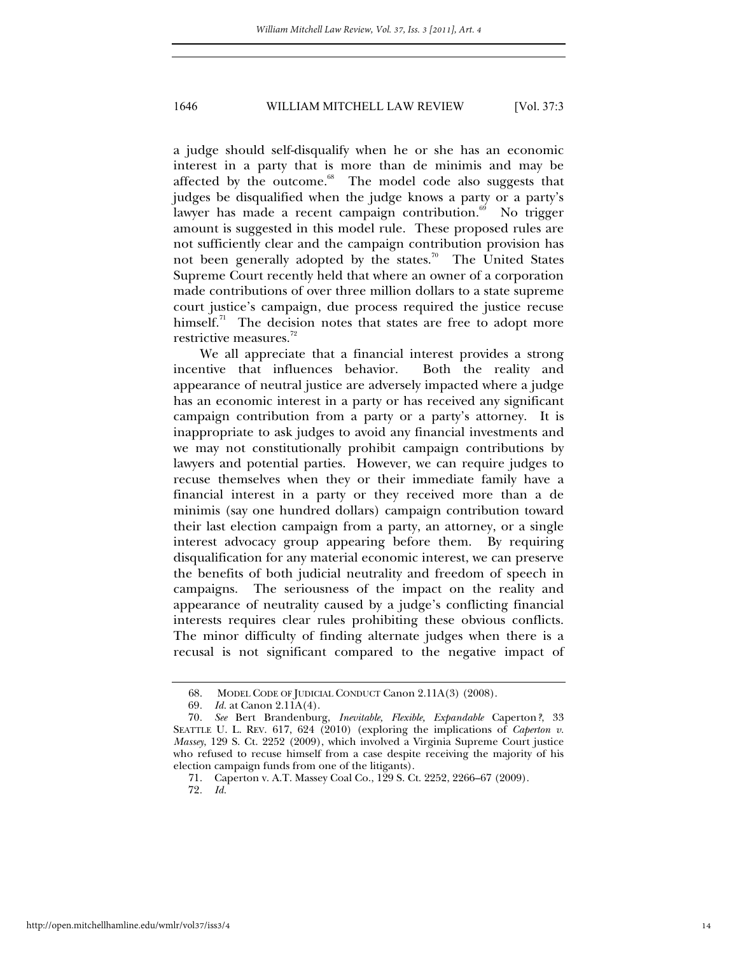a judge should self-disqualify when he or she has an economic interest in a party that is more than de minimis and may be affected by the outcome.<sup>68</sup> The model code also suggests that judges be disqualified when the judge knows a party or a party's lawyer has made a recent campaign contribution.<sup>69</sup> No trigger amount is suggested in this model rule. These proposed rules are not sufficiently clear and the campaign contribution provision has not been generally adopted by the states.<sup>70</sup> The United States Supreme Court recently held that where an owner of a corporation made contributions of over three million dollars to a state supreme court justice's campaign, due process required the justice recuse himself. $\frac{1}{1}$  The decision notes that states are free to adopt more restrictive measures.<sup>72</sup>

We all appreciate that a financial interest provides a strong incentive that influences behavior. Both the reality and appearance of neutral justice are adversely impacted where a judge has an economic interest in a party or has received any significant campaign contribution from a party or a party's attorney. It is inappropriate to ask judges to avoid any financial investments and we may not constitutionally prohibit campaign contributions by lawyers and potential parties. However, we can require judges to recuse themselves when they or their immediate family have a financial interest in a party or they received more than a de minimis (say one hundred dollars) campaign contribution toward their last election campaign from a party, an attorney, or a single interest advocacy group appearing before them. By requiring disqualification for any material economic interest, we can preserve the benefits of both judicial neutrality and freedom of speech in campaigns. The seriousness of the impact on the reality and appearance of neutrality caused by a judge's conflicting financial interests requires clear rules prohibiting these obvious conflicts. The minor difficulty of finding alternate judges when there is a recusal is not significant compared to the negative impact of

<sup>68.</sup> MODEL CODE OF JUDICIAL CONDUCT Canon 2.11A(3) (2008).<br>69. Id. at Canon 2.11A(4).

*Id.* at Canon 2.11A(4).

<sup>70</sup>*. See* Bert Brandenburg, *Inevitable, Flexible, Expandable* Caperton*?*, 33 SEATTLE U. L. REV. 617, 624 (2010) (exploring the implications of *Caperton v. Massey*, 129 S. Ct. 2252 (2009), which involved a Virginia Supreme Court justice who refused to recuse himself from a case despite receiving the majority of his election campaign funds from one of the litigants).

 <sup>71.</sup> Caperton v. A.T. Massey Coal Co., 129 S. Ct. 2252, 2266–67 (2009).

<sup>72</sup>*. Id.*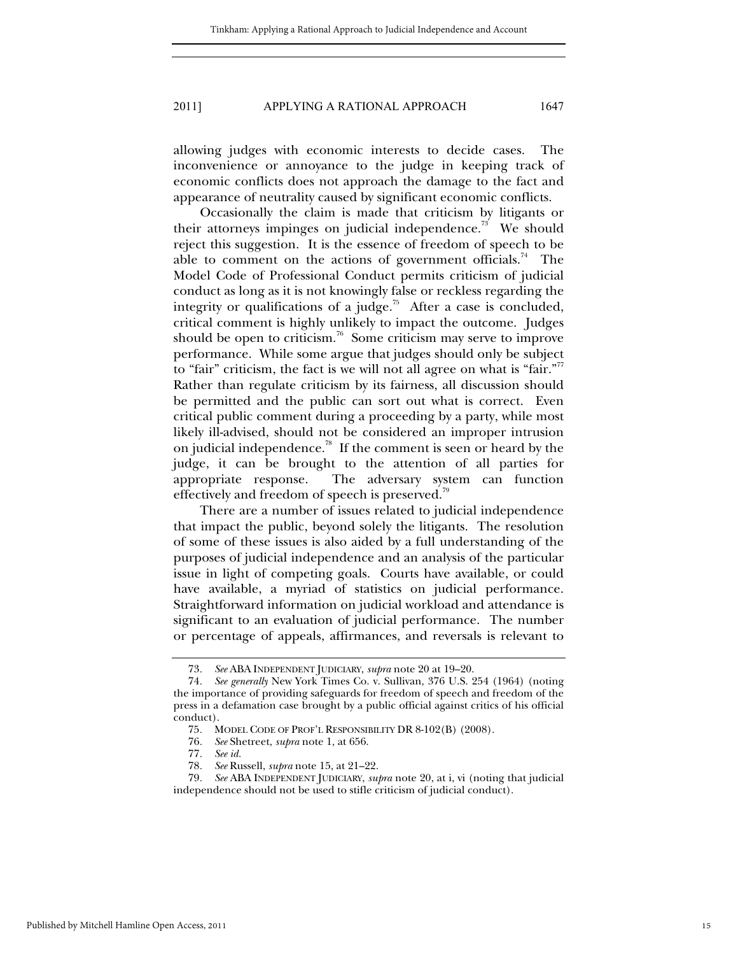allowing judges with economic interests to decide cases. The inconvenience or annoyance to the judge in keeping track of economic conflicts does not approach the damage to the fact and appearance of neutrality caused by significant economic conflicts.

Occasionally the claim is made that criticism by litigants or their attorneys impinges on judicial independence.<sup>73</sup> We should reject this suggestion. It is the essence of freedom of speech to be able to comment on the actions of government officials.<sup>74</sup> The Model Code of Professional Conduct permits criticism of judicial conduct as long as it is not knowingly false or reckless regarding the integrity or qualifications of a judge.<sup>75</sup> After a case is concluded, critical comment is highly unlikely to impact the outcome. Judges should be open to criticism.<sup>76</sup> Some criticism may serve to improve performance. While some argue that judges should only be subject to "fair" criticism, the fact is we will not all agree on what is "fair."<sup>77</sup> Rather than regulate criticism by its fairness, all discussion should be permitted and the public can sort out what is correct. Even critical public comment during a proceeding by a party, while most likely ill-advised, should not be considered an improper intrusion on judicial independence.<sup>78</sup> If the comment is seen or heard by the judge, it can be brought to the attention of all parties for appropriate response. The adversary system can function effectively and freedom of speech is preserved.<sup>79</sup>

There are a number of issues related to judicial independence that impact the public, beyond solely the litigants. The resolution of some of these issues is also aided by a full understanding of the purposes of judicial independence and an analysis of the particular issue in light of competing goals. Courts have available, or could have available, a myriad of statistics on judicial performance. Straightforward information on judicial workload and attendance is significant to an evaluation of judicial performance. The number or percentage of appeals, affirmances, and reversals is relevant to

<sup>73</sup>*. See* ABA INDEPENDENT JUDICIARY, *supra* note 20 at 19–20.

<sup>74</sup>*. See generally* New York Times Co. v. Sullivan, 376 U.S. 254 (1964) (noting the importance of providing safeguards for freedom of speech and freedom of the press in a defamation case brought by a public official against critics of his official conduct).

<sup>75</sup>*.* MODEL CODE OF PROF'L RESPONSIBILITY DR 8-102(B) (2008).

<sup>76</sup>*. See* Shetreet, *supra* note 1, at 656.

<sup>77</sup>*. See id.* 

<sup>78</sup>*. See* Russell, *supra* note 15, at 21–22.

<sup>79</sup>*. See* ABA INDEPENDENT JUDICIARY, *supra* note 20, at i, vi (noting that judicial independence should not be used to stifle criticism of judicial conduct).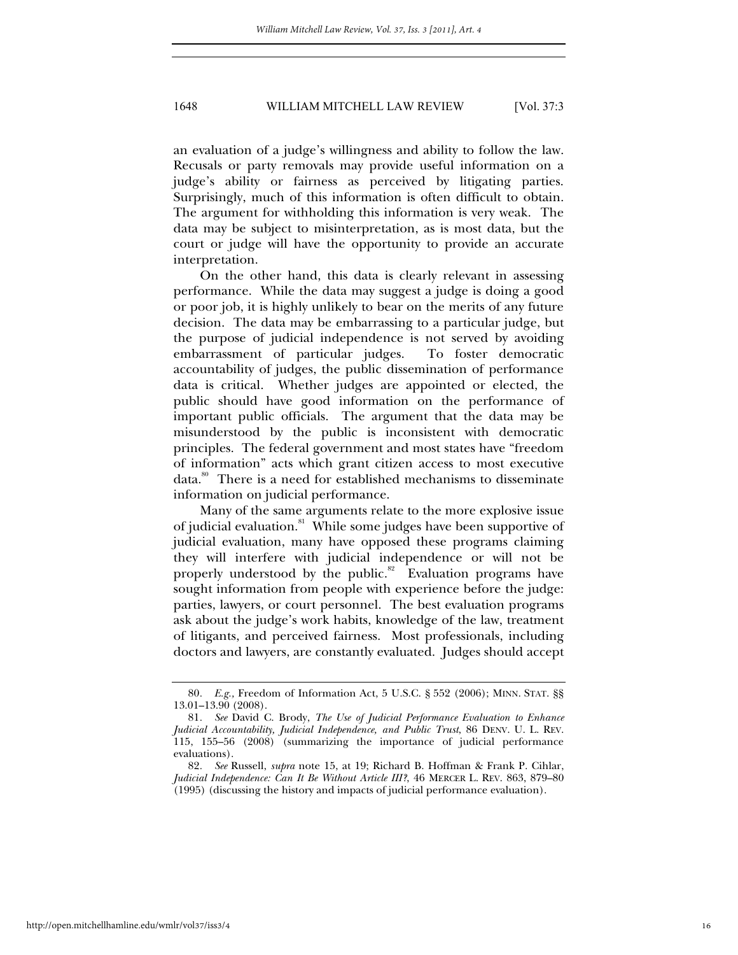an evaluation of a judge's willingness and ability to follow the law. Recusals or party removals may provide useful information on a judge's ability or fairness as perceived by litigating parties. Surprisingly, much of this information is often difficult to obtain. The argument for withholding this information is very weak. The data may be subject to misinterpretation, as is most data, but the court or judge will have the opportunity to provide an accurate interpretation.

On the other hand, this data is clearly relevant in assessing performance. While the data may suggest a judge is doing a good or poor job, it is highly unlikely to bear on the merits of any future decision. The data may be embarrassing to a particular judge, but the purpose of judicial independence is not served by avoiding embarrassment of particular judges. To foster democratic accountability of judges, the public dissemination of performance data is critical. Whether judges are appointed or elected, the public should have good information on the performance of important public officials. The argument that the data may be misunderstood by the public is inconsistent with democratic principles. The federal government and most states have "freedom of information" acts which grant citizen access to most executive data.80 There is a need for established mechanisms to disseminate information on judicial performance.

Many of the same arguments relate to the more explosive issue of judicial evaluation.<sup>81</sup> While some judges have been supportive of judicial evaluation, many have opposed these programs claiming they will interfere with judicial independence or will not be properly understood by the public. $82$  Evaluation programs have sought information from people with experience before the judge: parties, lawyers, or court personnel. The best evaluation programs ask about the judge's work habits, knowledge of the law, treatment of litigants, and perceived fairness. Most professionals, including doctors and lawyers, are constantly evaluated. Judges should accept

<sup>80</sup>*. E.g.,* Freedom of Information Act, 5 U.S.C. § 552 (2006); MINN. STAT. §§ 13.01–13.90 (2008).

<sup>81</sup>*. See* David C. Brody, *The Use of Judicial Performance Evaluation to Enhance Judicial Accountability, Judicial Independence, and Public Trust*, 86 DENV. U. L. REV. 115, 155–56 (2008) (summarizing the importance of judicial performance evaluations).

<sup>82</sup>*. See* Russell, *supra* note 15, at 19; Richard B. Hoffman & Frank P. Cihlar, *Judicial Independence: Can It Be Without Article III?*, 46 MERCER L. REV. 863, 879–80 (1995) (discussing the history and impacts of judicial performance evaluation).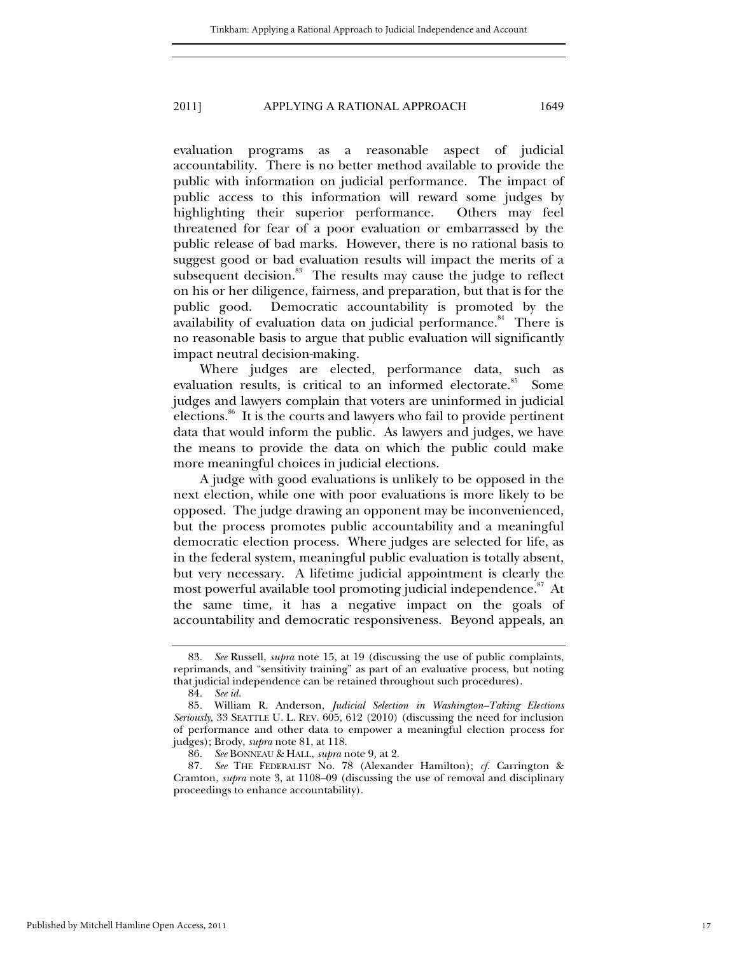evaluation programs as a reasonable aspect of judicial accountability. There is no better method available to provide the public with information on judicial performance. The impact of public access to this information will reward some judges by highlighting their superior performance. Others may feel threatened for fear of a poor evaluation or embarrassed by the public release of bad marks. However, there is no rational basis to suggest good or bad evaluation results will impact the merits of a subsequent decision. $83$  The results may cause the judge to reflect on his or her diligence, fairness, and preparation, but that is for the public good. Democratic accountability is promoted by the availability of evaluation data on judicial performance. $84$  There is no reasonable basis to argue that public evaluation will significantly impact neutral decision-making.

Where judges are elected, performance data, such as evaluation results, is critical to an informed electorate.<sup>85</sup> Some judges and lawyers complain that voters are uninformed in judicial elections.<sup>86</sup> It is the courts and lawyers who fail to provide pertinent data that would inform the public. As lawyers and judges, we have the means to provide the data on which the public could make more meaningful choices in judicial elections.

A judge with good evaluations is unlikely to be opposed in the next election, while one with poor evaluations is more likely to be opposed. The judge drawing an opponent may be inconvenienced, but the process promotes public accountability and a meaningful democratic election process. Where judges are selected for life, as in the federal system, meaningful public evaluation is totally absent, but very necessary. A lifetime judicial appointment is clearly the most powerful available tool promoting judicial independence.<sup>87</sup> At the same time, it has a negative impact on the goals of accountability and democratic responsiveness. Beyond appeals, an

<sup>83</sup>*. See* Russell, *supra* note 15, at 19 (discussing the use of public complaints, reprimands, and "sensitivity training" as part of an evaluative process, but noting that judicial independence can be retained throughout such procedures).

<sup>84</sup>*. See id.*

<sup>85</sup>*.* William R. Anderson, *Judicial Selection in Washington–Taking Elections Seriously*, 33 SEATTLE U. L. REV. 605, 612 (2010) (discussing the need for inclusion of performance and other data to empower a meaningful election process for judges); Brody, *supra* note 81, at 118.

<sup>86</sup>*. See* BONNEAU & HALL, *supra* note 9*,* at 2.

<sup>87</sup>*. See* THE FEDERALIST No. 78 (Alexander Hamilton); *cf.* Carrington & Cramton, *supra* note 3, at 1108–09 (discussing the use of removal and disciplinary proceedings to enhance accountability).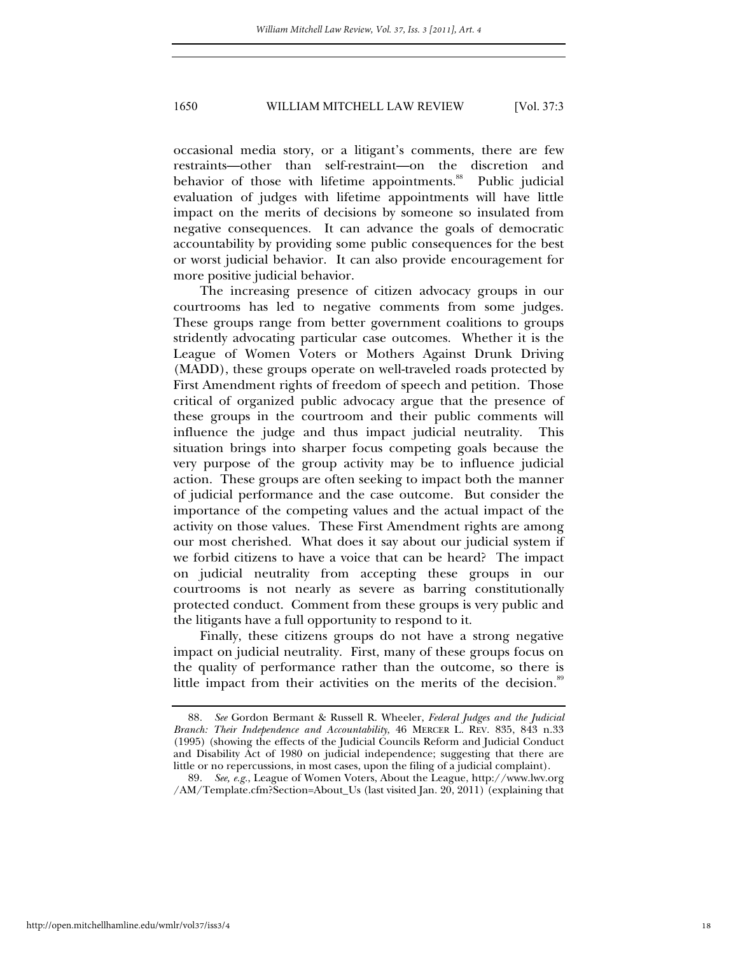occasional media story, or a litigant's comments, there are few restraints—other than self-restraint—on the discretion and behavior of those with lifetime appointments.<sup>88</sup> Public judicial evaluation of judges with lifetime appointments will have little impact on the merits of decisions by someone so insulated from negative consequences. It can advance the goals of democratic accountability by providing some public consequences for the best or worst judicial behavior. It can also provide encouragement for more positive judicial behavior.

The increasing presence of citizen advocacy groups in our courtrooms has led to negative comments from some judges. These groups range from better government coalitions to groups stridently advocating particular case outcomes. Whether it is the League of Women Voters or Mothers Against Drunk Driving (MADD), these groups operate on well-traveled roads protected by First Amendment rights of freedom of speech and petition. Those critical of organized public advocacy argue that the presence of these groups in the courtroom and their public comments will influence the judge and thus impact judicial neutrality. This situation brings into sharper focus competing goals because the very purpose of the group activity may be to influence judicial action. These groups are often seeking to impact both the manner of judicial performance and the case outcome. But consider the importance of the competing values and the actual impact of the activity on those values. These First Amendment rights are among our most cherished. What does it say about our judicial system if we forbid citizens to have a voice that can be heard? The impact on judicial neutrality from accepting these groups in our courtrooms is not nearly as severe as barring constitutionally protected conduct. Comment from these groups is very public and the litigants have a full opportunity to respond to it.

Finally, these citizens groups do not have a strong negative impact on judicial neutrality. First, many of these groups focus on the quality of performance rather than the outcome, so there is little impact from their activities on the merits of the decision.<sup>89</sup>

<sup>88</sup>*. See* Gordon Bermant & Russell R. Wheeler, *Federal Judges and the Judicial Branch: Their Independence and Accountability*, 46 MERCER L. REV. 835, 843 n.33 (1995) (showing the effects of the Judicial Councils Reform and Judicial Conduct and Disability Act of 1980 on judicial independence; suggesting that there are little or no repercussions, in most cases, upon the filing of a judicial complaint).

<sup>89</sup>*. See, e.g.*, League of Women Voters, About the League, http://www.lwv.org /AM/Template.cfm?Section=About\_Us (last visited Jan. 20, 2011) (explaining that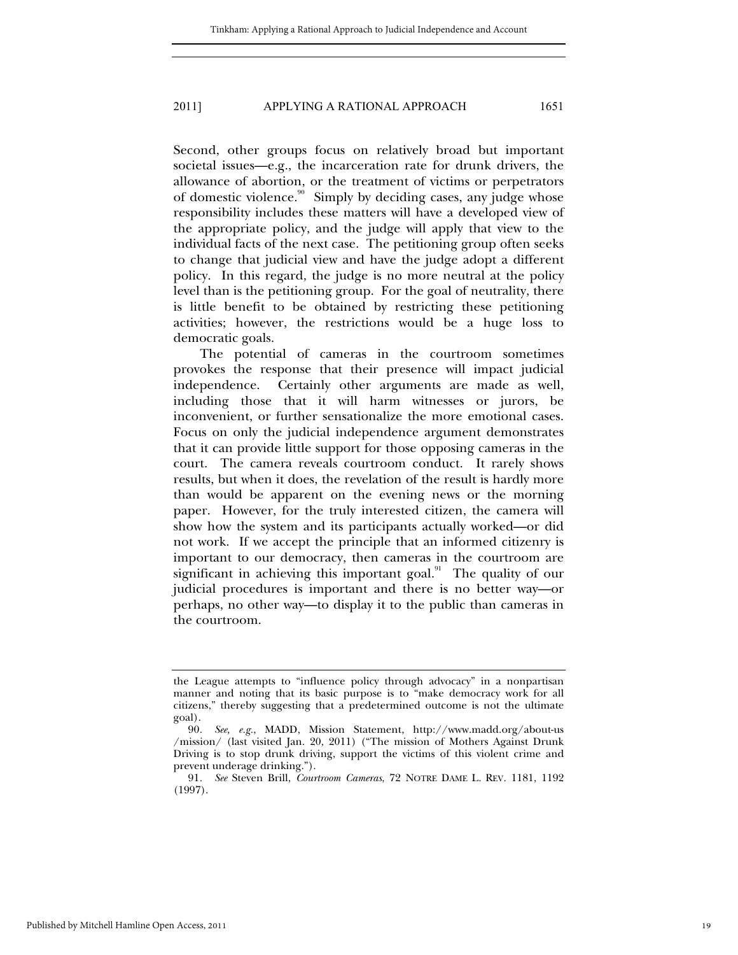Second, other groups focus on relatively broad but important societal issues—e.g., the incarceration rate for drunk drivers, the allowance of abortion, or the treatment of victims or perpetrators of domestic violence.<sup>90</sup> Simply by deciding cases, any judge whose responsibility includes these matters will have a developed view of the appropriate policy, and the judge will apply that view to the individual facts of the next case. The petitioning group often seeks to change that judicial view and have the judge adopt a different policy. In this regard, the judge is no more neutral at the policy level than is the petitioning group. For the goal of neutrality, there is little benefit to be obtained by restricting these petitioning activities; however, the restrictions would be a huge loss to democratic goals.

The potential of cameras in the courtroom sometimes provokes the response that their presence will impact judicial independence. Certainly other arguments are made as well, including those that it will harm witnesses or jurors, be inconvenient, or further sensationalize the more emotional cases. Focus on only the judicial independence argument demonstrates that it can provide little support for those opposing cameras in the court. The camera reveals courtroom conduct. It rarely shows results, but when it does, the revelation of the result is hardly more than would be apparent on the evening news or the morning paper. However, for the truly interested citizen, the camera will show how the system and its participants actually worked—or did not work. If we accept the principle that an informed citizenry is important to our democracy, then cameras in the courtroom are significant in achieving this important goal. $91$  The quality of our judicial procedures is important and there is no better way—or perhaps, no other way—to display it to the public than cameras in the courtroom.

Published by Mitchell Hamline Open Access, 2011

the League attempts to "influence policy through advocacy" in a nonpartisan manner and noting that its basic purpose is to "make democracy work for all citizens," thereby suggesting that a predetermined outcome is not the ultimate goal).

<sup>90</sup>*. See, e.g.*, MADD, Mission Statement, http://www.madd.org/about-us /mission/ (last visited Jan. 20, 2011) ("The mission of Mothers Against Drunk Driving is to stop drunk driving, support the victims of this violent crime and prevent underage drinking.").

<sup>91</sup>*. See* Steven Brill, *Courtroom Cameras*, 72 NOTRE DAME L. REV*.* 1181, 1192 (1997).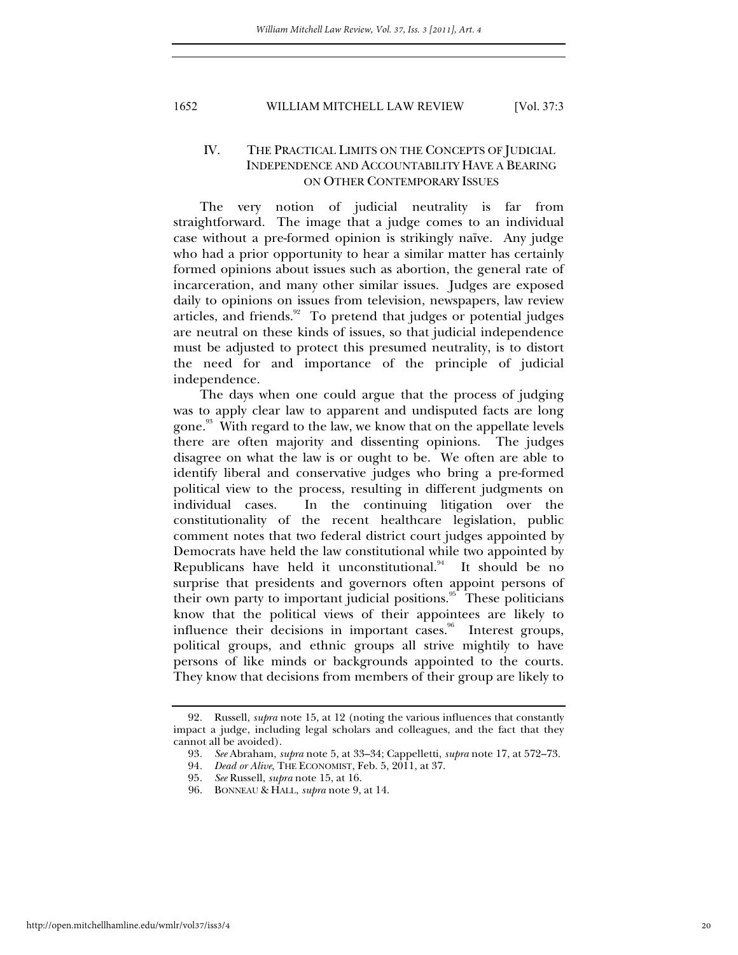# IV. THE PRACTICAL LIMITS ON THE CONCEPTS OF JUDICIAL INDEPENDENCE AND ACCOUNTABILITY HAVE A BEARING ON OTHER CONTEMPORARY ISSUES

The very notion of judicial neutrality is far from straightforward. The image that a judge comes to an individual case without a pre-formed opinion is strikingly naïve. Any judge who had a prior opportunity to hear a similar matter has certainly formed opinions about issues such as abortion, the general rate of incarceration, and many other similar issues. Judges are exposed daily to opinions on issues from television, newspapers, law review articles, and friends.<sup>92</sup> To pretend that judges or potential judges are neutral on these kinds of issues, so that judicial independence must be adjusted to protect this presumed neutrality, is to distort the need for and importance of the principle of judicial independence.

The days when one could argue that the process of judging was to apply clear law to apparent and undisputed facts are long gone.<sup>93</sup> With regard to the law, we know that on the appellate levels there are often majority and dissenting opinions. The judges disagree on what the law is or ought to be. We often are able to identify liberal and conservative judges who bring a pre-formed political view to the process, resulting in different judgments on individual cases. In the continuing litigation over the constitutionality of the recent healthcare legislation, public comment notes that two federal district court judges appointed by Democrats have held the law constitutional while two appointed by Republicans have held it unconstitutional. $94$  It should be no surprise that presidents and governors often appoint persons of their own party to important judicial positions.<sup>95</sup> These politicians know that the political views of their appointees are likely to influence their decisions in important cases.<sup>96</sup> Interest groups, political groups, and ethnic groups all strive mightily to have persons of like minds or backgrounds appointed to the courts. They know that decisions from members of their group are likely to

<sup>92</sup>*.* Russell, *supra* note 15, at 12 (noting the various influences that constantly impact a judge, including legal scholars and colleagues, and the fact that they cannot all be avoided).

<sup>93</sup>*. See* Abraham, *supra* note 5, at 33–34; Cappelletti, *supra* note 17, at 572–73.

<sup>94</sup>*. Dead or Alive*, THE ECONOMIST, Feb. 5, 2011, at 37.

<sup>95</sup>*. See* Russell, *supra* note 15, at 16.

 <sup>96.</sup> BONNEAU & HALL, *supra* note 9, at 14.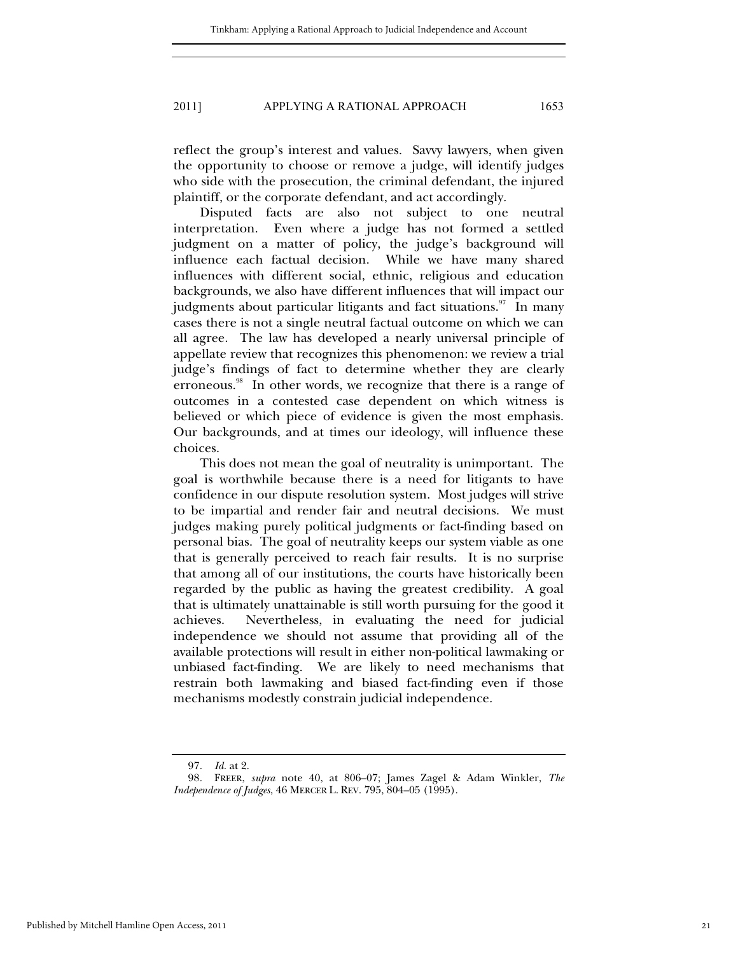reflect the group's interest and values. Savvy lawyers, when given the opportunity to choose or remove a judge, will identify judges who side with the prosecution, the criminal defendant, the injured plaintiff, or the corporate defendant, and act accordingly.

Disputed facts are also not subject to one neutral interpretation. Even where a judge has not formed a settled judgment on a matter of policy, the judge's background will influence each factual decision. While we have many shared influences with different social, ethnic, religious and education backgrounds, we also have different influences that will impact our judgments about particular litigants and fact situations. $\frac{97}{10}$  In many cases there is not a single neutral factual outcome on which we can all agree. The law has developed a nearly universal principle of appellate review that recognizes this phenomenon: we review a trial judge's findings of fact to determine whether they are clearly erroneous.<sup>98</sup> In other words, we recognize that there is a range of outcomes in a contested case dependent on which witness is believed or which piece of evidence is given the most emphasis. Our backgrounds, and at times our ideology, will influence these choices.

This does not mean the goal of neutrality is unimportant. The goal is worthwhile because there is a need for litigants to have confidence in our dispute resolution system. Most judges will strive to be impartial and render fair and neutral decisions. We must judges making purely political judgments or fact-finding based on personal bias. The goal of neutrality keeps our system viable as one that is generally perceived to reach fair results. It is no surprise that among all of our institutions, the courts have historically been regarded by the public as having the greatest credibility. A goal that is ultimately unattainable is still worth pursuing for the good it achieves. Nevertheless, in evaluating the need for judicial independence we should not assume that providing all of the available protections will result in either non-political lawmaking or unbiased fact-finding. We are likely to need mechanisms that restrain both lawmaking and biased fact-finding even if those mechanisms modestly constrain judicial independence.

<sup>97</sup>*. Id.* at 2.

<sup>98</sup>*.* FREER, *supra* note 40, at 806–07; James Zagel & Adam Winkler, *The Independence of Judges*, 46 MERCER L. REV. 795, 804–05 (1995).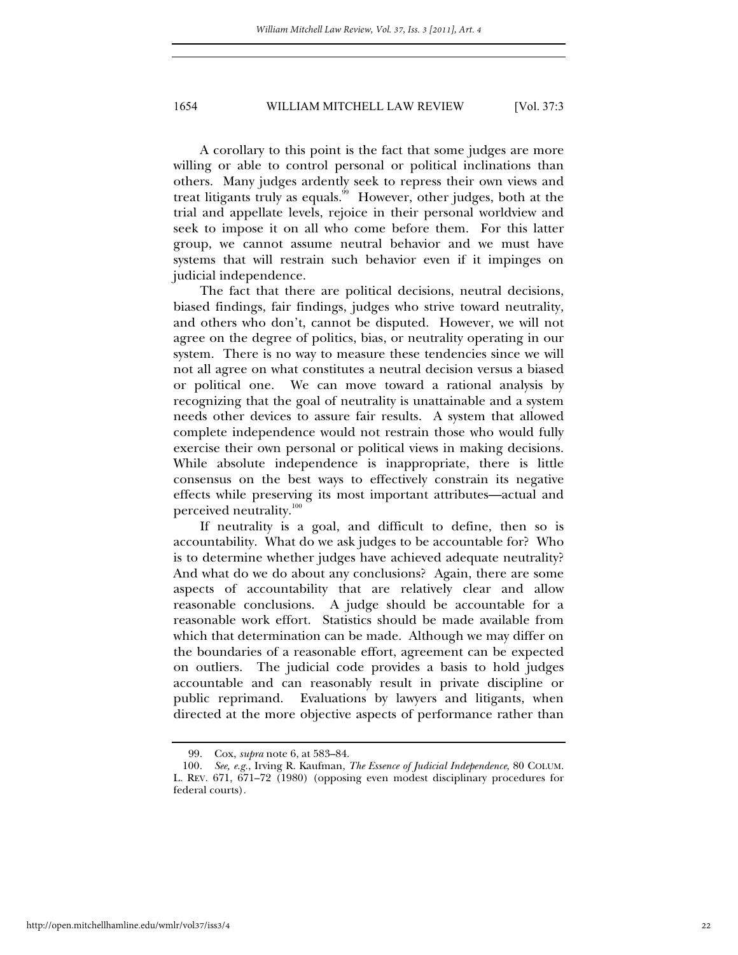A corollary to this point is the fact that some judges are more willing or able to control personal or political inclinations than others. Many judges ardently seek to repress their own views and treat litigants truly as equals.<sup>99</sup> However, other judges, both at the trial and appellate levels, rejoice in their personal worldview and seek to impose it on all who come before them. For this latter group, we cannot assume neutral behavior and we must have systems that will restrain such behavior even if it impinges on judicial independence.

The fact that there are political decisions, neutral decisions, biased findings, fair findings, judges who strive toward neutrality, and others who don't, cannot be disputed. However, we will not agree on the degree of politics, bias, or neutrality operating in our system. There is no way to measure these tendencies since we will not all agree on what constitutes a neutral decision versus a biased or political one. We can move toward a rational analysis by recognizing that the goal of neutrality is unattainable and a system needs other devices to assure fair results. A system that allowed complete independence would not restrain those who would fully exercise their own personal or political views in making decisions. While absolute independence is inappropriate, there is little consensus on the best ways to effectively constrain its negative effects while preserving its most important attributes—actual and perceived neutrality.<sup>100</sup>

If neutrality is a goal, and difficult to define, then so is accountability. What do we ask judges to be accountable for? Who is to determine whether judges have achieved adequate neutrality? And what do we do about any conclusions? Again, there are some aspects of accountability that are relatively clear and allow reasonable conclusions. A judge should be accountable for a reasonable work effort. Statistics should be made available from which that determination can be made. Although we may differ on the boundaries of a reasonable effort, agreement can be expected on outliers. The judicial code provides a basis to hold judges accountable and can reasonably result in private discipline or public reprimand. Evaluations by lawyers and litigants, when directed at the more objective aspects of performance rather than

 <sup>99.</sup> Cox, *supra* note 6, at 583–84.

<sup>100</sup>*. See, e.g.*, Irving R. Kaufman, *The Essence of Judicial Independence*, 80 COLUM. L. REV. 671, 671–72 (1980) (opposing even modest disciplinary procedures for federal courts).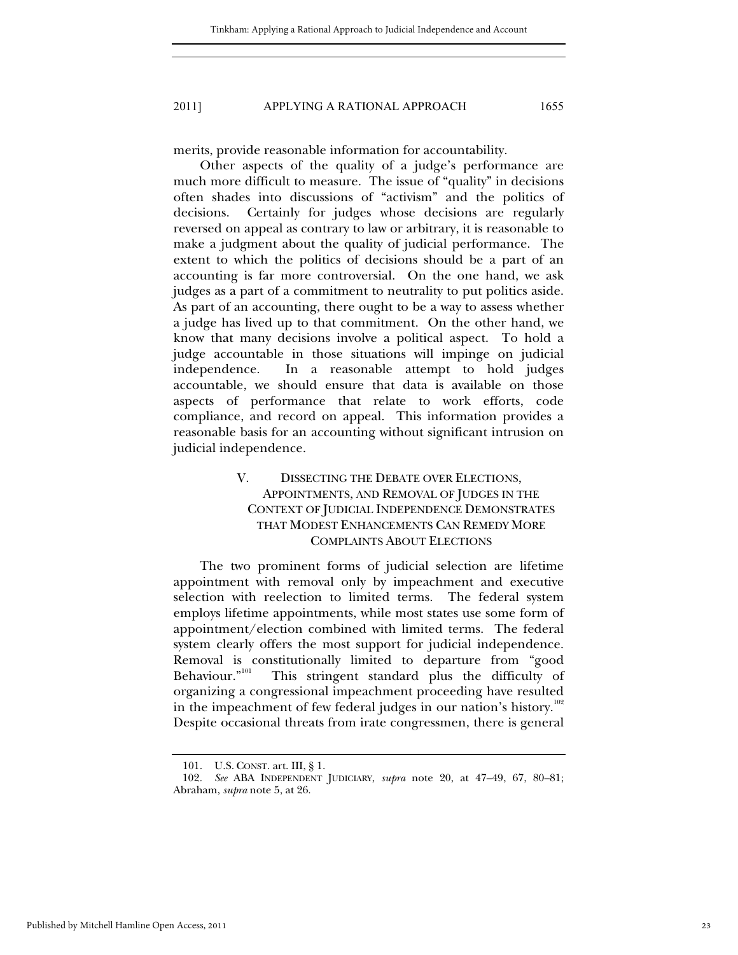merits, provide reasonable information for accountability.

Other aspects of the quality of a judge's performance are much more difficult to measure. The issue of "quality" in decisions often shades into discussions of "activism" and the politics of decisions. Certainly for judges whose decisions are regularly reversed on appeal as contrary to law or arbitrary, it is reasonable to make a judgment about the quality of judicial performance. The extent to which the politics of decisions should be a part of an accounting is far more controversial. On the one hand, we ask judges as a part of a commitment to neutrality to put politics aside. As part of an accounting, there ought to be a way to assess whether a judge has lived up to that commitment. On the other hand, we know that many decisions involve a political aspect. To hold a judge accountable in those situations will impinge on judicial independence. In a reasonable attempt to hold judges accountable, we should ensure that data is available on those aspects of performance that relate to work efforts, code compliance, and record on appeal. This information provides a reasonable basis for an accounting without significant intrusion on judicial independence.

# V. DISSECTING THE DEBATE OVER ELECTIONS, APPOINTMENTS, AND REMOVAL OF JUDGES IN THE CONTEXT OF JUDICIAL INDEPENDENCE DEMONSTRATES THAT MODEST ENHANCEMENTS CAN REMEDY MORE COMPLAINTS ABOUT ELECTIONS

The two prominent forms of judicial selection are lifetime appointment with removal only by impeachment and executive selection with reelection to limited terms. The federal system employs lifetime appointments, while most states use some form of appointment/election combined with limited terms. The federal system clearly offers the most support for judicial independence. Removal is constitutionally limited to departure from "good Behaviour."<sup>101</sup> This stringent standard plus the difficulty of This stringent standard plus the difficulty of organizing a congressional impeachment proceeding have resulted in the impeachment of few federal judges in our nation's history. $^{102}$ Despite occasional threats from irate congressmen, there is general

 <sup>101.</sup> U.S. CONST. art. III, § 1.

<sup>102</sup>*. See* ABA INDEPENDENT JUDICIARY, *supra* note 20, at 47–49, 67, 80–81; Abraham, *supra* note 5, at 26.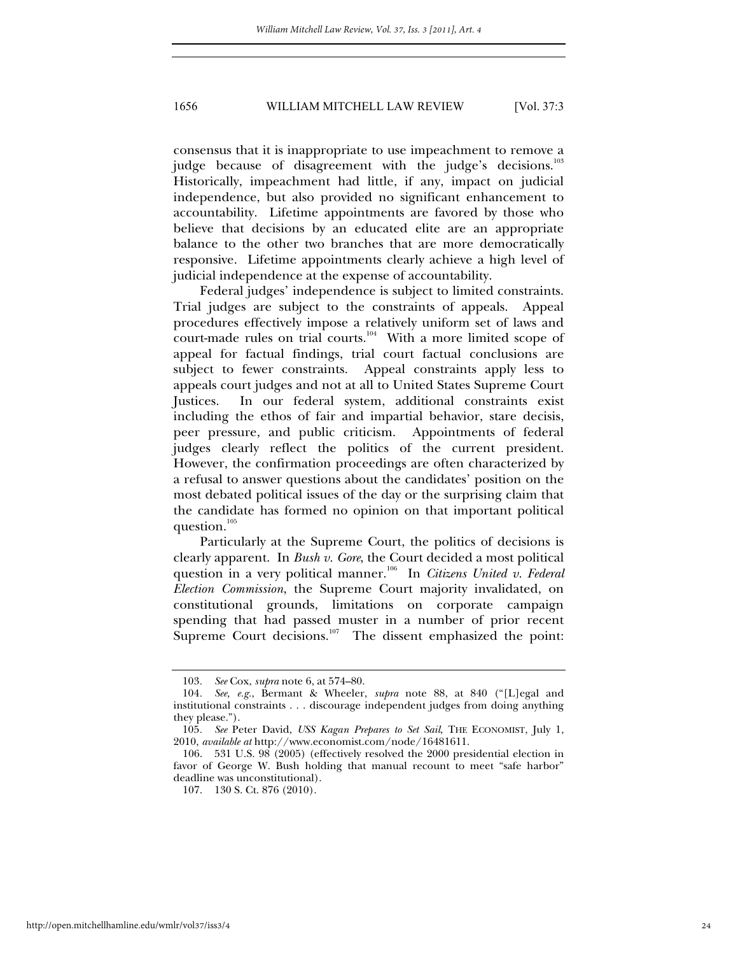consensus that it is inappropriate to use impeachment to remove a judge because of disagreement with the judge's decisions. $^{103}$ Historically, impeachment had little, if any, impact on judicial independence, but also provided no significant enhancement to accountability. Lifetime appointments are favored by those who believe that decisions by an educated elite are an appropriate balance to the other two branches that are more democratically responsive. Lifetime appointments clearly achieve a high level of judicial independence at the expense of accountability.

Federal judges' independence is subject to limited constraints. Trial judges are subject to the constraints of appeals. Appeal procedures effectively impose a relatively uniform set of laws and court-made rules on trial courts.<sup>104</sup> With a more limited scope of appeal for factual findings, trial court factual conclusions are subject to fewer constraints. Appeal constraints apply less to appeals court judges and not at all to United States Supreme Court Justices. In our federal system, additional constraints exist including the ethos of fair and impartial behavior, stare decisis, peer pressure, and public criticism. Appointments of federal judges clearly reflect the politics of the current president. However, the confirmation proceedings are often characterized by a refusal to answer questions about the candidates' position on the most debated political issues of the day or the surprising claim that the candidate has formed no opinion on that important political question.<sup>105</sup>

Particularly at the Supreme Court, the politics of decisions is clearly apparent. In *Bush v. Gore*, the Court decided a most political question in a very political manner.<sup>106</sup> In *Citizens United v. Federal Election Commission*, the Supreme Court majority invalidated, on constitutional grounds, limitations on corporate campaign spending that had passed muster in a number of prior recent Supreme Court decisions.<sup>107</sup> The dissent emphasized the point:

<sup>103</sup>*. See* Cox, *supra* note 6, at 574–80.

<sup>104</sup>*. See, e.g.*, Bermant & Wheeler, *supra* note 88, at 840 ("[L]egal and institutional constraints . . . discourage independent judges from doing anything they please.").

<sup>105</sup>*. See* Peter David, *USS Kagan Prepares to Set Sail*, THE ECONOMIST, July 1, 2010, *available at* http://www.economist.com/node/16481611.

 <sup>106. 531</sup> U.S. 98 (2005) (effectively resolved the 2000 presidential election in favor of George W. Bush holding that manual recount to meet "safe harbor" deadline was unconstitutional).

 <sup>107. 130</sup> S. Ct. 876 (2010).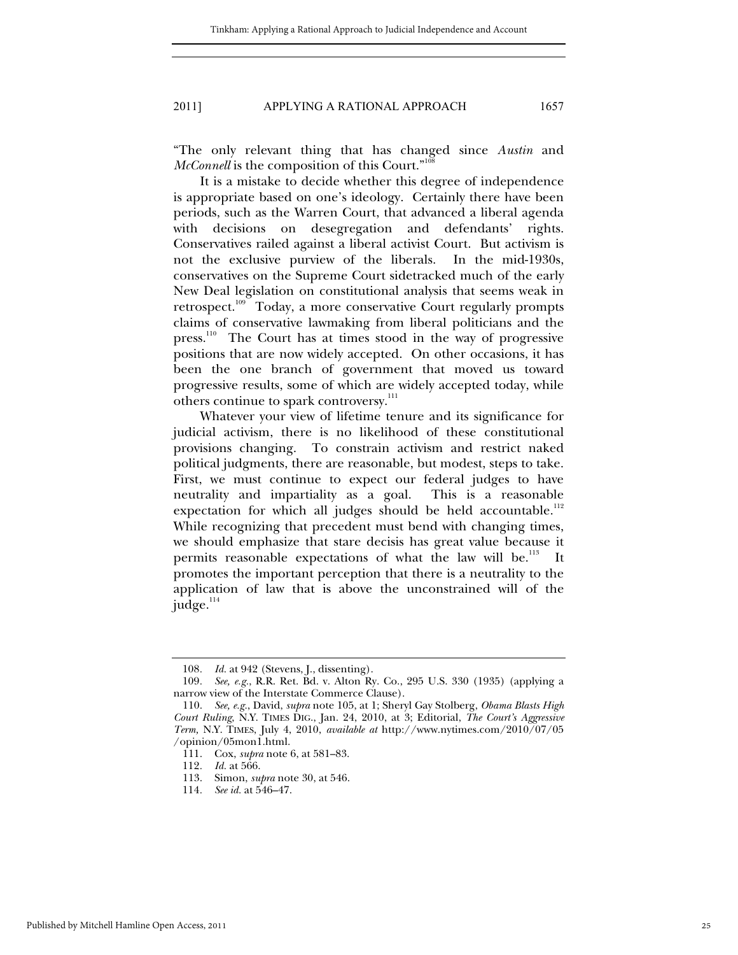"The only relevant thing that has changed since *Austin* and *McConnell* is the composition of this Court."<sup>108</sup>

It is a mistake to decide whether this degree of independence is appropriate based on one's ideology. Certainly there have been periods, such as the Warren Court, that advanced a liberal agenda with decisions on desegregation and defendants' rights. Conservatives railed against a liberal activist Court. But activism is not the exclusive purview of the liberals. In the mid-1930s, conservatives on the Supreme Court sidetracked much of the early New Deal legislation on constitutional analysis that seems weak in retrospect.<sup>109</sup> Today, a more conservative Court regularly prompts claims of conservative lawmaking from liberal politicians and the press.110 The Court has at times stood in the way of progressive positions that are now widely accepted. On other occasions, it has been the one branch of government that moved us toward progressive results, some of which are widely accepted today, while others continue to spark controversy.<sup>111</sup>

Whatever your view of lifetime tenure and its significance for judicial activism, there is no likelihood of these constitutional provisions changing. To constrain activism and restrict naked political judgments, there are reasonable, but modest, steps to take. First, we must continue to expect our federal judges to have neutrality and impartiality as a goal. This is a reasonable expectation for which all judges should be held accountable.<sup>112</sup> While recognizing that precedent must bend with changing times, we should emphasize that stare decisis has great value because it permits reasonable expectations of what the law will be.<sup>113</sup> It promotes the important perception that there is a neutrality to the application of law that is above the unconstrained will of the judge. $114$ 

<sup>108</sup>*. Id.* at 942 (Stevens, J., dissenting).

<sup>109</sup>*. See, e.g.*, R.R. Ret. Bd. v. Alton Ry. Co., 295 U.S. 330 (1935) (applying a narrow view of the Interstate Commerce Clause).

 <sup>110.</sup> *See, e.g.*, David, *supra* note 105, at 1; Sheryl Gay Stolberg, *Obama Blasts High Court Ruling*, N.Y. TIMES DIG., Jan. 24, 2010, at 3; Editorial, *The Court's Aggressive Term,* N.Y. TIMES, July 4, 2010, *available at* http://www.nytimes.com/2010/07/05 /opinion/05mon1.html.

 <sup>111.</sup> Cox, *supra* note 6, at 581–83.

<sup>112</sup>*. Id.* at 566.

 <sup>113.</sup> Simon, *supra* note 30, at 546.

<sup>114</sup>*. See id.* at 546–47.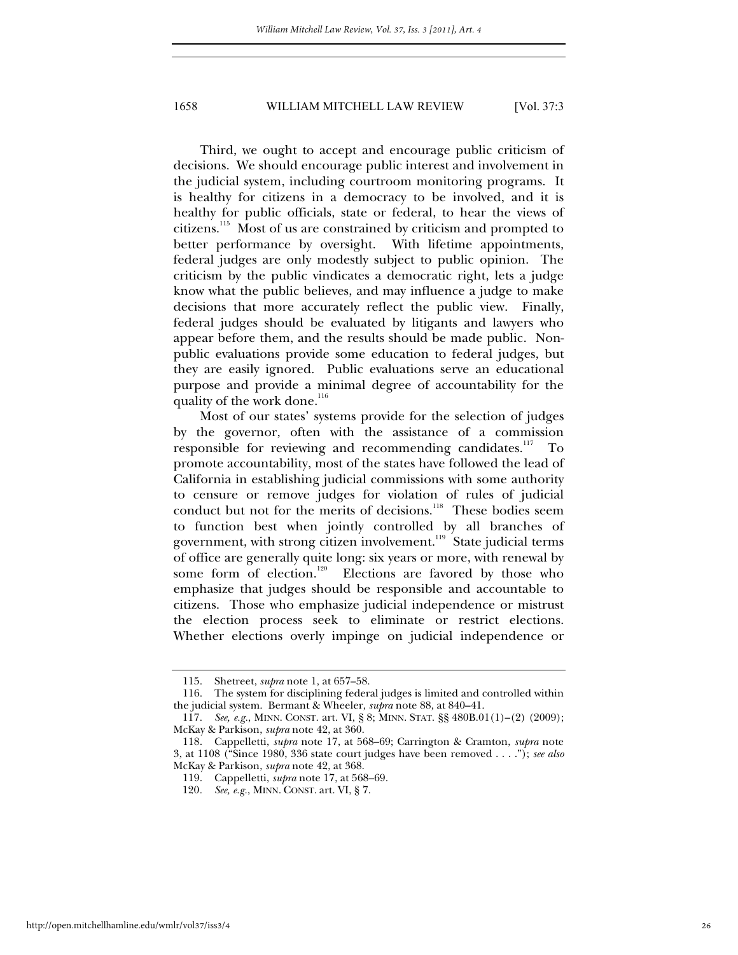Third, we ought to accept and encourage public criticism of decisions. We should encourage public interest and involvement in the judicial system, including courtroom monitoring programs. It is healthy for citizens in a democracy to be involved, and it is healthy for public officials, state or federal, to hear the views of citizens.115 Most of us are constrained by criticism and prompted to better performance by oversight. With lifetime appointments, federal judges are only modestly subject to public opinion. The criticism by the public vindicates a democratic right, lets a judge know what the public believes, and may influence a judge to make decisions that more accurately reflect the public view. Finally, federal judges should be evaluated by litigants and lawyers who appear before them, and the results should be made public. Nonpublic evaluations provide some education to federal judges, but they are easily ignored. Public evaluations serve an educational purpose and provide a minimal degree of accountability for the quality of the work done.<sup>116</sup>

Most of our states' systems provide for the selection of judges by the governor, often with the assistance of a commission responsible for reviewing and recommending candidates.<sup>117</sup> To promote accountability, most of the states have followed the lead of California in establishing judicial commissions with some authority to censure or remove judges for violation of rules of judicial conduct but not for the merits of decisions.<sup>118</sup> These bodies seem to function best when jointly controlled by all branches of government, with strong citizen involvement.<sup>119</sup> State judicial terms of office are generally quite long: six years or more, with renewal by some form of election.<sup>120</sup> Elections are favored by those who Elections are favored by those who emphasize that judges should be responsible and accountable to citizens. Those who emphasize judicial independence or mistrust the election process seek to eliminate or restrict elections. Whether elections overly impinge on judicial independence or

 <sup>115.</sup> Shetreet, *supra* note 1, at 657–58.

 <sup>116.</sup> The system for disciplining federal judges is limited and controlled within the judicial system. Bermant & Wheeler, *supra* note 88, at 840–41.

<sup>117</sup>*. See, e.g.*, MINN. CONST. art. VI, § 8; MINN. STAT. §§ 480B.01(1)–(2) (2009); McKay & Parkison, *supra* note 42, at 360.

 <sup>118.</sup> Cappelletti, *supra* note 17, at 568–69; Carrington & Cramton, *supra* note 3, at 1108 ("Since 1980, 336 state court judges have been removed . . . ."); *see also*  McKay & Parkison, *supra* note 42, at 368.

 <sup>119.</sup> Cappelletti, *supra* note 17, at 568–69.

<sup>120</sup>*. See, e.g.*, MINN. CONST. art. VI, § 7.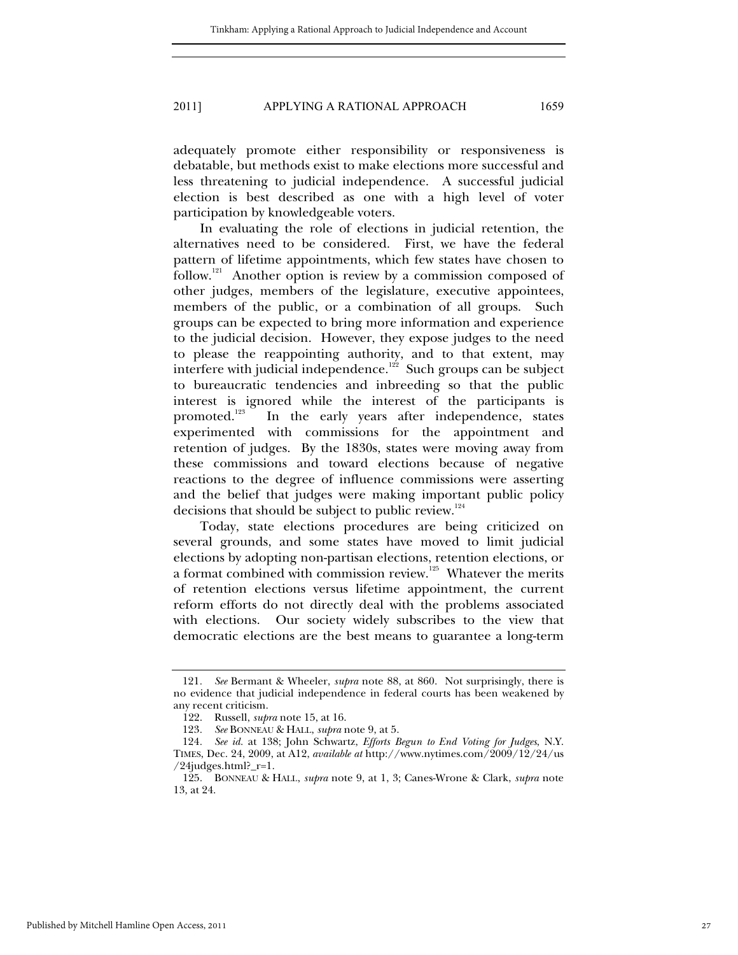adequately promote either responsibility or responsiveness is debatable, but methods exist to make elections more successful and less threatening to judicial independence. A successful judicial election is best described as one with a high level of voter participation by knowledgeable voters.

In evaluating the role of elections in judicial retention, the alternatives need to be considered. First, we have the federal pattern of lifetime appointments, which few states have chosen to follow.<sup>121</sup> Another option is review by a commission composed of other judges, members of the legislature, executive appointees, members of the public, or a combination of all groups. Such groups can be expected to bring more information and experience to the judicial decision. However, they expose judges to the need to please the reappointing authority, and to that extent, may interfere with judicial independence.<sup>122</sup> Such groups can be subject to bureaucratic tendencies and inbreeding so that the public interest is ignored while the interest of the participants is promoted.<sup>123</sup> In the early years after independence, states In the early years after independence, states experimented with commissions for the appointment and retention of judges. By the 1830s, states were moving away from these commissions and toward elections because of negative reactions to the degree of influence commissions were asserting and the belief that judges were making important public policy decisions that should be subject to public review.<sup>124</sup>

Today, state elections procedures are being criticized on several grounds, and some states have moved to limit judicial elections by adopting non-partisan elections, retention elections, or a format combined with commission review.125 Whatever the merits of retention elections versus lifetime appointment, the current reform efforts do not directly deal with the problems associated with elections. Our society widely subscribes to the view that democratic elections are the best means to guarantee a long-term

<sup>121</sup>*. See* Bermant & Wheeler, *supra* note 88, at 860. Not surprisingly, there is no evidence that judicial independence in federal courts has been weakened by any recent criticism.

 <sup>122.</sup> Russell, *supra* note 15, at 16.

<sup>123</sup>*. See* BONNEAU & HALL, *supra* note 9, at 5.

<sup>124</sup>*. See id.* at 138; John Schwartz, *Efforts Begun to End Voting for Judges*, N.Y. TIMES, Dec. 24, 2009, at A12, *available at* http://www.nytimes.com/2009/12/24/us /24judges.html?\_r=1.

 <sup>125.</sup> BONNEAU & HALL, *supra* note 9, at 1, 3; Canes-Wrone & Clark, *supra* note 13, at 24.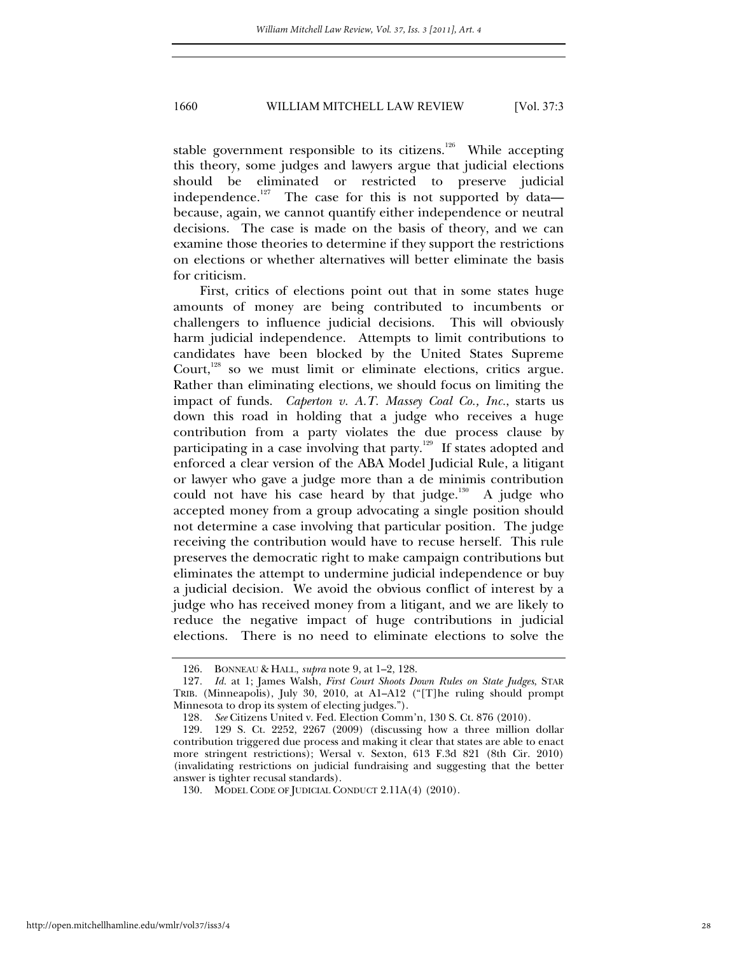stable government responsible to its citizens.<sup>126</sup> While accepting this theory, some judges and lawyers argue that judicial elections should be eliminated or restricted to preserve judicial independence.<sup>127</sup> The case for this is not supported by data because, again, we cannot quantify either independence or neutral decisions. The case is made on the basis of theory, and we can examine those theories to determine if they support the restrictions on elections or whether alternatives will better eliminate the basis for criticism.

First, critics of elections point out that in some states huge amounts of money are being contributed to incumbents or challengers to influence judicial decisions. This will obviously harm judicial independence. Attempts to limit contributions to candidates have been blocked by the United States Supreme Court,<sup>128</sup> so we must limit or eliminate elections, critics argue. Rather than eliminating elections, we should focus on limiting the impact of funds. *Caperton v. A.T. Massey Coal Co., Inc.*, starts us down this road in holding that a judge who receives a huge contribution from a party violates the due process clause by participating in a case involving that party.<sup>129</sup> If states adopted and enforced a clear version of the ABA Model Judicial Rule, a litigant or lawyer who gave a judge more than a de minimis contribution could not have his case heard by that judge.<sup>130</sup> A judge who accepted money from a group advocating a single position should not determine a case involving that particular position. The judge receiving the contribution would have to recuse herself. This rule preserves the democratic right to make campaign contributions but eliminates the attempt to undermine judicial independence or buy a judicial decision. We avoid the obvious conflict of interest by a judge who has received money from a litigant, and we are likely to reduce the negative impact of huge contributions in judicial elections. There is no need to eliminate elections to solve the

 <sup>126.</sup> BONNEAU & HALL, *supra* note 9, at 1–2, 128.

<sup>127</sup>*. Id.* at 1; James Walsh, *First Court Shoots Down Rules on State Judges*, STAR TRIB. (Minneapolis), July 30, 2010, at A1–A12 ("[T]he ruling should prompt Minnesota to drop its system of electing judges.").

<sup>128</sup>*. See* Citizens United v. Fed. Election Comm'n, 130 S. Ct. 876 (2010).

 <sup>129. 129</sup> S. Ct. 2252, 2267 (2009) (discussing how a three million dollar contribution triggered due process and making it clear that states are able to enact more stringent restrictions); Wersal v. Sexton, 613 F.3d 821 (8th Cir. 2010) (invalidating restrictions on judicial fundraising and suggesting that the better answer is tighter recusal standards).

 <sup>130.</sup> MODEL CODE OF JUDICIAL CONDUCT 2.11A(4) (2010).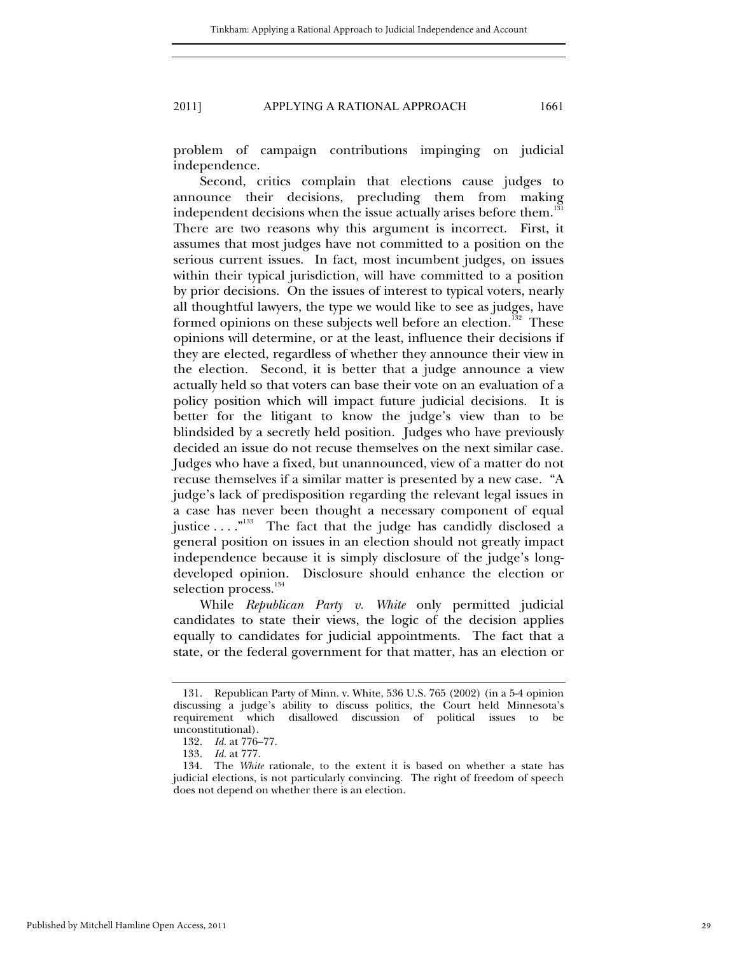problem of campaign contributions impinging on judicial independence.

Second, critics complain that elections cause judges to announce their decisions, precluding them from making independent decisions when the issue actually arises before them.<sup>131</sup> There are two reasons why this argument is incorrect. First, it assumes that most judges have not committed to a position on the serious current issues. In fact, most incumbent judges, on issues within their typical jurisdiction, will have committed to a position by prior decisions. On the issues of interest to typical voters, nearly all thoughtful lawyers, the type we would like to see as judges, have formed opinions on these subjects well before an election.<sup>132</sup> These opinions will determine, or at the least, influence their decisions if they are elected, regardless of whether they announce their view in the election. Second, it is better that a judge announce a view actually held so that voters can base their vote on an evaluation of a policy position which will impact future judicial decisions. It is better for the litigant to know the judge's view than to be blindsided by a secretly held position. Judges who have previously decided an issue do not recuse themselves on the next similar case. Judges who have a fixed, but unannounced, view of a matter do not recuse themselves if a similar matter is presented by a new case. "A judge's lack of predisposition regarding the relevant legal issues in a case has never been thought a necessary component of equal justice . . . .<sup>"133</sup> The fact that the judge has candidly disclosed a general position on issues in an election should not greatly impact independence because it is simply disclosure of the judge's longdeveloped opinion. Disclosure should enhance the election or selection process.<sup>134</sup>

While *Republican Party v. White* only permitted judicial candidates to state their views, the logic of the decision applies equally to candidates for judicial appointments. The fact that a state, or the federal government for that matter, has an election or

 <sup>131.</sup> Republican Party of Minn. v. White, 536 U.S. 765 (2002) (in a 5-4 opinion discussing a judge's ability to discuss politics, the Court held Minnesota's requirement which disallowed discussion of political issues to be unconstitutional).

<sup>132</sup>*. Id.* at 776–77.

<sup>133</sup>*. Id.* at 777.

 <sup>134.</sup> The *White* rationale, to the extent it is based on whether a state has judicial elections, is not particularly convincing. The right of freedom of speech does not depend on whether there is an election.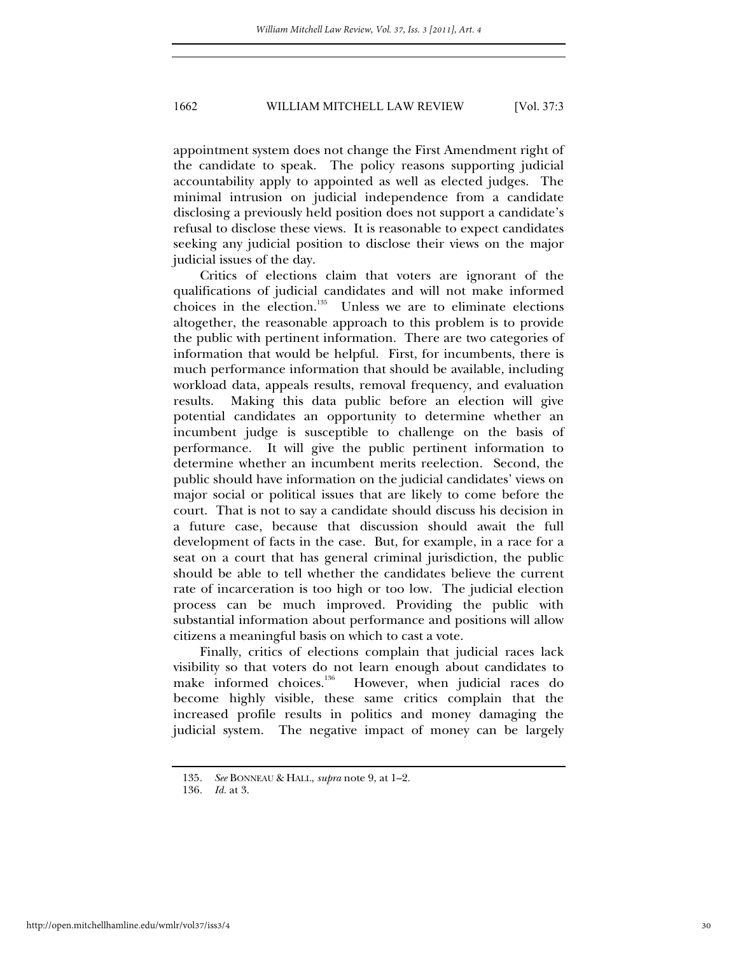appointment system does not change the First Amendment right of the candidate to speak. The policy reasons supporting judicial accountability apply to appointed as well as elected judges. The minimal intrusion on judicial independence from a candidate disclosing a previously held position does not support a candidate's refusal to disclose these views. It is reasonable to expect candidates seeking any judicial position to disclose their views on the major judicial issues of the day.

Critics of elections claim that voters are ignorant of the qualifications of judicial candidates and will not make informed choices in the election. $135$  Unless we are to eliminate elections altogether, the reasonable approach to this problem is to provide the public with pertinent information. There are two categories of information that would be helpful. First, for incumbents, there is much performance information that should be available, including workload data, appeals results, removal frequency, and evaluation results. Making this data public before an election will give potential candidates an opportunity to determine whether an incumbent judge is susceptible to challenge on the basis of performance. It will give the public pertinent information to determine whether an incumbent merits reelection. Second, the public should have information on the judicial candidates' views on major social or political issues that are likely to come before the court. That is not to say a candidate should discuss his decision in a future case, because that discussion should await the full development of facts in the case. But, for example, in a race for a seat on a court that has general criminal jurisdiction, the public should be able to tell whether the candidates believe the current rate of incarceration is too high or too low. The judicial election process can be much improved. Providing the public with substantial information about performance and positions will allow citizens a meaningful basis on which to cast a vote.

Finally, critics of elections complain that judicial races lack visibility so that voters do not learn enough about candidates to make informed choices.<sup>136</sup> However, when judicial races do become highly visible, these same critics complain that the increased profile results in politics and money damaging the judicial system. The negative impact of money can be largely

<sup>135</sup>*. See* BONNEAU & HALL, *supra* note 9, at 1–2.

<sup>136</sup>*. Id.* at 3.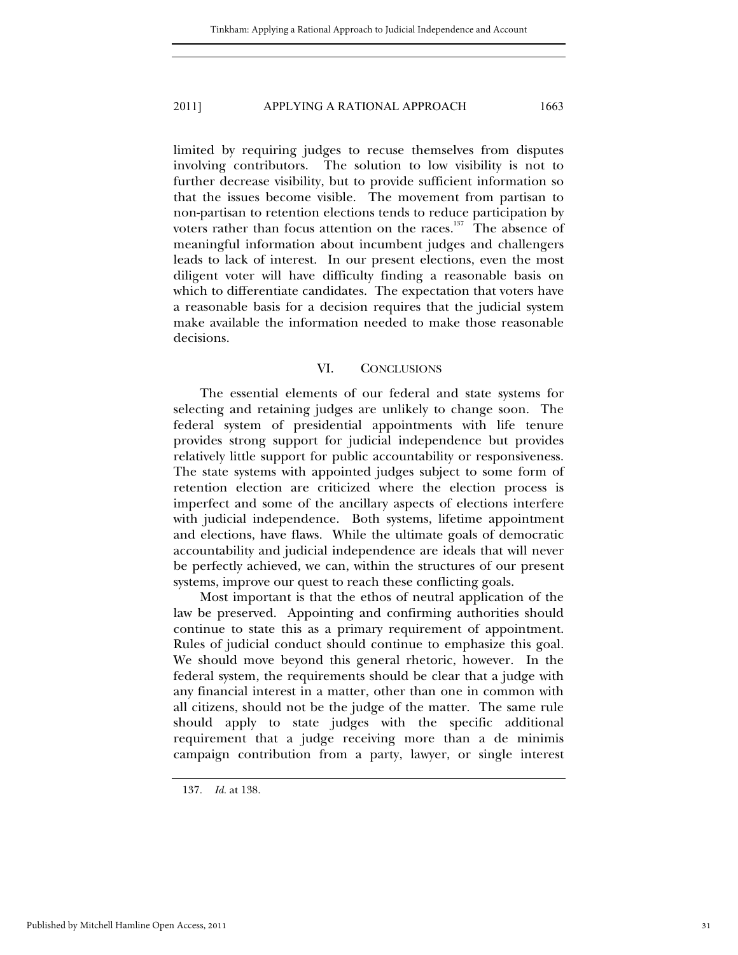limited by requiring judges to recuse themselves from disputes involving contributors. The solution to low visibility is not to further decrease visibility, but to provide sufficient information so that the issues become visible. The movement from partisan to non-partisan to retention elections tends to reduce participation by voters rather than focus attention on the races. $137$  The absence of meaningful information about incumbent judges and challengers leads to lack of interest. In our present elections, even the most diligent voter will have difficulty finding a reasonable basis on which to differentiate candidates. The expectation that voters have a reasonable basis for a decision requires that the judicial system make available the information needed to make those reasonable decisions.

#### VI. CONCLUSIONS

The essential elements of our federal and state systems for selecting and retaining judges are unlikely to change soon. The federal system of presidential appointments with life tenure provides strong support for judicial independence but provides relatively little support for public accountability or responsiveness. The state systems with appointed judges subject to some form of retention election are criticized where the election process is imperfect and some of the ancillary aspects of elections interfere with judicial independence. Both systems, lifetime appointment and elections, have flaws. While the ultimate goals of democratic accountability and judicial independence are ideals that will never be perfectly achieved, we can, within the structures of our present systems, improve our quest to reach these conflicting goals.

Most important is that the ethos of neutral application of the law be preserved. Appointing and confirming authorities should continue to state this as a primary requirement of appointment. Rules of judicial conduct should continue to emphasize this goal. We should move beyond this general rhetoric, however. In the federal system, the requirements should be clear that a judge with any financial interest in a matter, other than one in common with all citizens, should not be the judge of the matter. The same rule should apply to state judges with the specific additional requirement that a judge receiving more than a de minimis campaign contribution from a party, lawyer, or single interest

<sup>137</sup>*. Id.* at 138.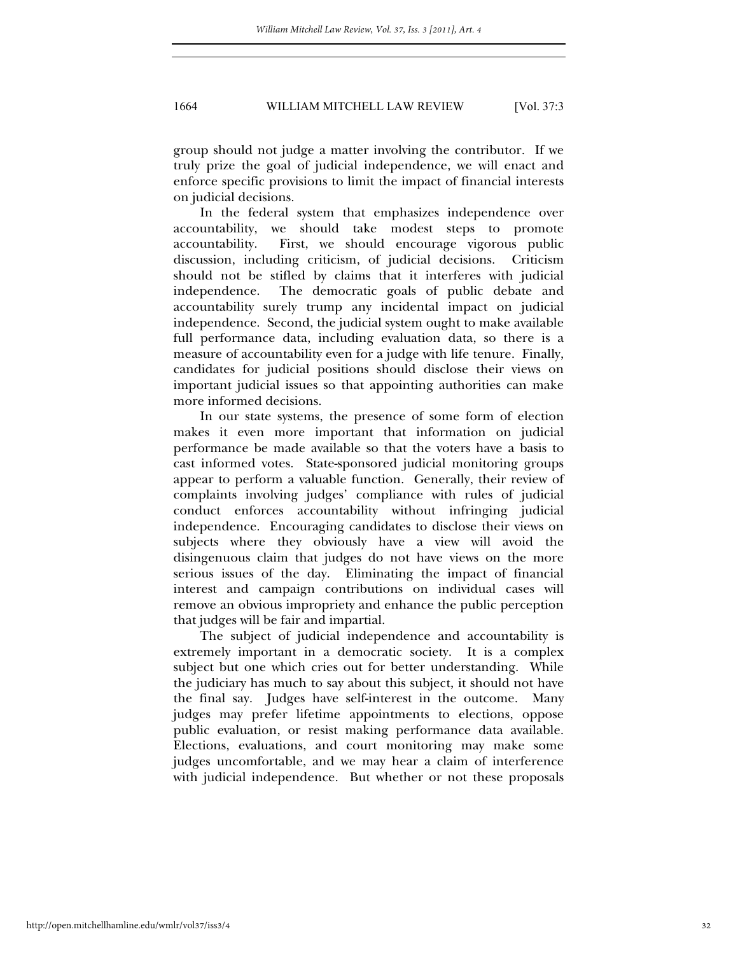group should not judge a matter involving the contributor. If we truly prize the goal of judicial independence, we will enact and enforce specific provisions to limit the impact of financial interests on judicial decisions.

In the federal system that emphasizes independence over accountability, we should take modest steps to promote accountability. First, we should encourage vigorous public discussion, including criticism, of judicial decisions. Criticism should not be stifled by claims that it interferes with judicial independence. The democratic goals of public debate and accountability surely trump any incidental impact on judicial independence. Second, the judicial system ought to make available full performance data, including evaluation data, so there is a measure of accountability even for a judge with life tenure. Finally, candidates for judicial positions should disclose their views on important judicial issues so that appointing authorities can make more informed decisions.

In our state systems, the presence of some form of election makes it even more important that information on judicial performance be made available so that the voters have a basis to cast informed votes. State-sponsored judicial monitoring groups appear to perform a valuable function. Generally, their review of complaints involving judges' compliance with rules of judicial conduct enforces accountability without infringing judicial independence. Encouraging candidates to disclose their views on subjects where they obviously have a view will avoid the disingenuous claim that judges do not have views on the more serious issues of the day. Eliminating the impact of financial interest and campaign contributions on individual cases will remove an obvious impropriety and enhance the public perception that judges will be fair and impartial.

The subject of judicial independence and accountability is extremely important in a democratic society. It is a complex subject but one which cries out for better understanding. While the judiciary has much to say about this subject, it should not have the final say. Judges have self-interest in the outcome. Many judges may prefer lifetime appointments to elections, oppose public evaluation, or resist making performance data available. Elections, evaluations, and court monitoring may make some judges uncomfortable, and we may hear a claim of interference with judicial independence. But whether or not these proposals

http://open.mitchellhamline.edu/wmlr/vol37/iss3/4